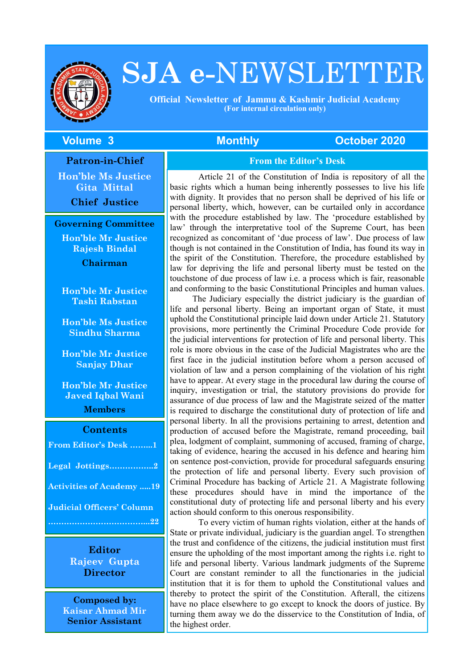

# **SJA e-**NEWSLETTER

 **Official Newsletter of Jammu & Kashmir Judicial Academy (For internal circulation only)**

#### **The Volume 3 Monthly Controller Monthly Controller 2020**

**Patron-in-Chief Hon'ble Ms Justice Gita Mittal**

**Chief Justice**

**Governing Committee**

**Hon'ble Mr Justice Rajesh Bindal**

**Chairman**

**Hon'ble Mr Justice Tashi Rabstan**

**Hon'ble Ms Justice Sindhu Sharma**

**Hon'ble Mr Justice Sanjay Dhar**

**Hon'ble Mr Justice Javed Iqbal Wani**

**Members**

#### **Contents**

| From Editor's Desk 1             |
|----------------------------------|
| Legal Jottings2                  |
| <b>Activities of Academy 19</b>  |
| <b>Judicial Officers' Column</b> |
|                                  |

**Editor Rajeev Gupta Director**

**Composed by: Kaisar Ahmad Mir Senior Assistant**

#### **From the Editor's Desk**

Article 21 of the Constitution of India is repository of all the basic rights which a human being inherently possesses to live his life with dignity. It provides that no person shall be deprived of his life or personal liberty, which, however, can be curtailed only in accordance with the procedure established by law. The 'procedure established by law' through the interpretative tool of the Supreme Court, has been recognized as concomitant of 'due process of law'. Due process of law though is not contained in the Constitution of India, has found its way in the spirit of the Constitution. Therefore, the procedure established by law for depriving the life and personal liberty must be tested on the touchstone of due process of law i.e. a process which is fair, reasonable and conforming to the basic Constitutional Principles and human values.

The Judiciary especially the district judiciary is the guardian of life and personal liberty. Being an important organ of State, it must uphold the Constitutional principle laid down under Article 21. Statutory provisions, more pertinently the Criminal Procedure Code provide for the judicial interventions for protection of life and personal liberty. This role is more obvious in the case of the Judicial Magistrates who are the first face in the judicial institution before whom a person accused of violation of law and a person complaining of the violation of his right have to appear. At every stage in the procedural law during the course of inquiry, investigation or trial, the statutory provisions do provide for assurance of due process of law and the Magistrate seized of the matter is required to discharge the constitutional duty of protection of life and personal liberty. In all the provisions pertaining to arrest, detention and production of accused before the Magistrate, remand proceeding, bail plea, lodgment of complaint, summoning of accused, framing of charge, taking of evidence, hearing the accused in his defence and hearing him on sentence post-conviction, provide for procedural safeguards ensuring the protection of life and personal liberty. Every such provision of Criminal Procedure has backing of Article 21. A Magistrate following these procedures should have in mind the importance of the constitutional duty of protecting life and personal liberty and his every action should conform to this onerous responsibility.

To every victim of human rights violation, either at the hands of State or private individual, judiciary is the guardian angel. To strengthen the trust and confidence of the citizens, the judicial institution must first ensure the upholding of the most important among the rights i.e. right to life and personal liberty. Various landmark judgments of the Supreme Court are constant reminder to all the functionaries in the judicial institution that it is for them to uphold the Constitutional values and thereby to protect the spirit of the Constitution. Afterall, the citizens have no place elsewhere to go except to knock the doors of justice. By turning them away we do the disservice to the Constitution of India, of the highest order.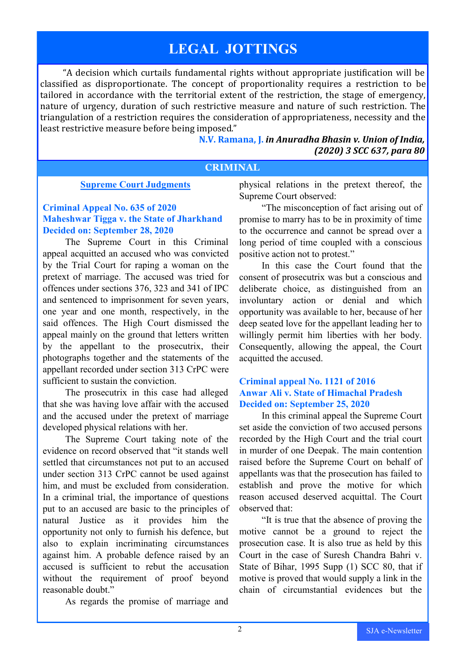# **LEGAL JOTTINGS**

"A decision which curtails fundamental rights without appropriate justification will be classified as disproportionate. The concept of proportionality requires a restriction to be tailored in accordance with the territorial extent of the restriction, the stage of emergency, nature of urgency, duration of such restrictive measure and nature of such restriction. The triangulation of a restriction requires the consideration of appropriateness, necessity and the least restrictive measure before being imposed."

> **N.V. Ramana, J.** *in Anuradha Bhasin v. Union of India, (2020) 3 SCC 637, para 80*

#### **CRIMINAL**

#### **Supreme Court Judgments**

#### **Criminal Appeal No. 635 of 2020 Maheshwar Tigga v. the State of Jharkhand Decided on: September 28, 2020**

The Supreme Court in this Criminal appeal acquitted an accused who was convicted by the Trial Court for raping a woman on the pretext of marriage. The accused was tried for offences under sections 376, 323 and 341 of IPC and sentenced to imprisonment for seven years, one year and one month, respectively, in the said offences. The High Court dismissed the appeal mainly on the ground that letters written by the appellant to the prosecutrix, their photographs together and the statements of the appellant recorded under section 313 CrPC were sufficient to sustain the conviction.

The prosecutrix in this case had alleged that she was having love affair with the accused and the accused under the pretext of marriage developed physical relations with her.

The Supreme Court taking note of the evidence on record observed that "it stands well settled that circumstances not put to an accused under section 313 CrPC cannot be used against him, and must be excluded from consideration. In a criminal trial, the importance of questions put to an accused are basic to the principles of natural Justice as it provides him the opportunity not only to furnish his defence, but also to explain incriminating circumstances against him. A probable defence raised by an accused is sufficient to rebut the accusation without the requirement of proof beyond reasonable doubt."

As regards the promise of marriage and

physical relations in the pretext thereof, the Supreme Court observed:

"The misconception of fact arising out of promise to marry has to be in proximity of time to the occurrence and cannot be spread over a long period of time coupled with a conscious positive action not to protest."

In this case the Court found that the consent of prosecutrix was but a conscious and deliberate choice, as distinguished from an involuntary action or denial and which opportunity was available to her, because of her deep seated love for the appellant leading her to willingly permit him liberties with her body. Consequently, allowing the appeal, the Court acquitted the accused.

#### **Criminal appeal No. 1121 of 2016 Anwar Ali v. State of Himachal Pradesh Decided on: September 25, 2020**

In this criminal appeal the Supreme Court set aside the conviction of two accused persons recorded by the High Court and the trial court in murder of one Deepak. The main contention raised before the Supreme Court on behalf of appellants was that the prosecution has failed to establish and prove the motive for which reason accused deserved acquittal. The Court observed that:

"It is true that the absence of proving the motive cannot be a ground to reject the prosecution case. It is also true as held by this Court in the case of Suresh Chandra Bahri v. State of Bihar, 1995 Supp (1) SCC 80, that if motive is proved that would supply a link in the chain of circumstantial evidences but the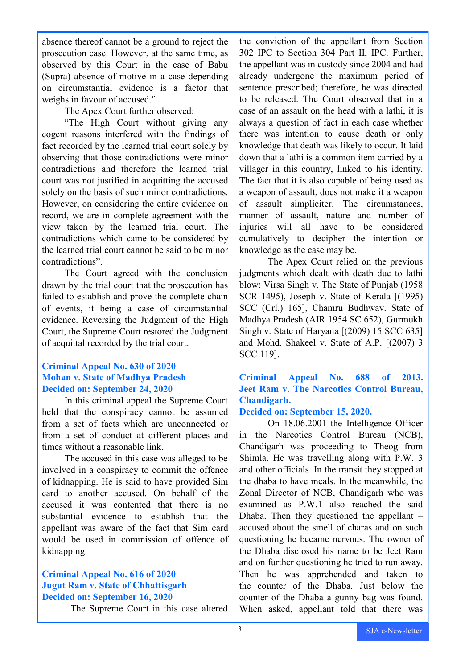absence thereof cannot be a ground to reject the prosecution case. However, at the same time, as observed by this Court in the case of Babu (Supra) absence of motive in a case depending on circumstantial evidence is a factor that weighs in favour of accused."

The Apex Court further observed:

"The High Court without giving any cogent reasons interfered with the findings of fact recorded by the learned trial court solely by observing that those contradictions were minor contradictions and therefore the learned trial court was not justified in acquitting the accused solely on the basis of such minor contradictions. However, on considering the entire evidence on record, we are in complete agreement with the view taken by the learned trial court. The contradictions which came to be considered by the learned trial court cannot be said to be minor contradictions".

The Court agreed with the conclusion drawn by the trial court that the prosecution has failed to establish and prove the complete chain of events, it being a case of circumstantial evidence. Reversing the Judgment of the High Court, the Supreme Court restored the Judgment of acquittal recorded by the trial court.

#### **Criminal Appeal No. 630 of 2020 Mohan v. State of Madhya Pradesh Decided on: September 24, 2020**

In this criminal appeal the Supreme Court held that the conspiracy cannot be assumed from a set of facts which are unconnected or from a set of conduct at different places and times without a reasonable link.

The accused in this case was alleged to be involved in a conspiracy to commit the offence of kidnapping. He is said to have provided Sim card to another accused. On behalf of the accused it was contented that there is no substantial evidence to establish that the appellant was aware of the fact that Sim card would be used in commission of offence of kidnapping.

#### **Criminal Appeal No. 616 of 2020 Jugut Ram v. State of Chhattisgarh Decided on: September 16, 2020**

The Supreme Court in this case altered

the conviction of the appellant from Section 302 IPC to Section 304 Part II, IPC. Further, the appellant was in custody since 2004 and had already undergone the maximum period of sentence prescribed; therefore, he was directed to be released. The Court observed that in a case of an assault on the head with a lathi, it is always a question of fact in each case whether there was intention to cause death or only knowledge that death was likely to occur. It laid down that a lathi is a common item carried by a villager in this country, linked to his identity. The fact that it is also capable of being used as a weapon of assault, does not make it a weapon of assault simpliciter. The circumstances, manner of assault, nature and number of injuries will all have to be considered cumulatively to decipher the intention or knowledge as the case may be.

The Apex Court relied on the previous judgments which dealt with death due to lathi blow: Virsa Singh v. The State of Punjab (1958 SCR 1495), Joseph v. State of Kerala [(1995) SCC (Crl.) 165], Chamru Budhwav. State of Madhya Pradesh (AIR 1954 SC 652), Gurmukh Singh v. State of Haryana [(2009) 15 SCC 635] and Mohd. Shakeel v. State of A.P. [(2007) 3 SCC 119].

#### **Criminal Appeal No. 688 of 2013. Jeet Ram v. The Narcotics Control Bureau, Chandigarh.**

#### **Decided on: September 15, 2020.**

On 18.06.2001 the Intelligence Officer in the Narcotics Control Bureau (NCB), Chandigarh was proceeding to Theog from Shimla. He was travelling along with P.W. 3 and other officials. In the transit they stopped at the dhaba to have meals. In the meanwhile, the Zonal Director of NCB, Chandigarh who was examined as P.W.1 also reached the said Dhaba. Then they questioned the appellant – accused about the smell of charas and on such questioning he became nervous. The owner of the Dhaba disclosed his name to be Jeet Ram and on further questioning he tried to run away. Then he was apprehended and taken to the counter of the Dhaba. Just below the counter of the Dhaba a gunny bag was found. When asked, appellant told that there was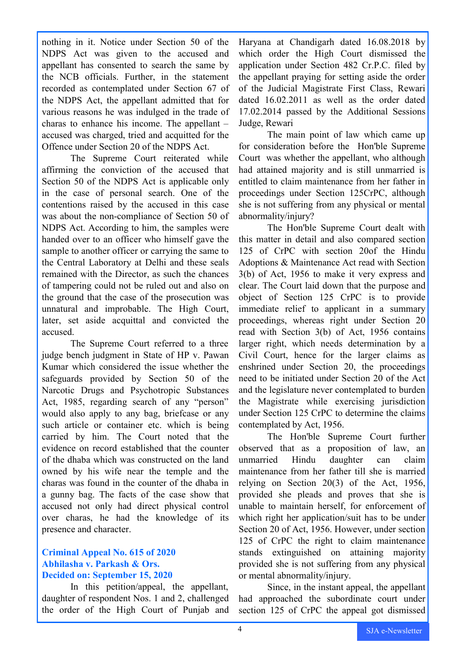nothing in it. Notice under Section 50 of the NDPS Act was given to the accused and appellant has consented to search the same by the NCB officials. Further, in the statement recorded as contemplated under Section 67 of the NDPS Act, the appellant admitted that for various reasons he was indulged in the trade of charas to enhance his income. The appellant – accused was charged, tried and acquitted for the Offence under Section 20 of the NDPS Act.

The Supreme Court reiterated while affirming the conviction of the accused that Section 50 of the NDPS Act is applicable only in the case of personal search. One of the contentions raised by the accused in this case was about the non-compliance of Section 50 of NDPS Act. According to him, the samples were handed over to an officer who himself gave the sample to another officer or carrying the same to the Central Laboratory at Delhi and these seals remained with the Director, as such the chances of tampering could not be ruled out and also on the ground that the case of the prosecution was unnatural and improbable. The High Court, later, set aside acquittal and convicted the accused.

The Supreme Court referred to a three judge bench judgment in State of HP v. Pawan Kumar which considered the issue whether the safeguards provided by Section 50 of the Narcotic Drugs and Psychotropic Substances Act, 1985, regarding search of any "person" would also apply to any bag, briefcase or any such article or container etc. which is being carried by him. The Court noted that the evidence on record established that the counter of the dhaba which was constructed on the land owned by his wife near the temple and the charas was found in the counter of the dhaba in a gunny bag. The facts of the case show that accused not only had direct physical control over charas, he had the knowledge of its presence and character.

#### **Criminal Appeal No. 615 of 2020 Abhilasha v. Parkash & Ors. Decided on: September 15, 2020**

In this petition/appeal, the appellant, daughter of respondent Nos. 1 and 2, challenged the order of the High Court of Punjab and Haryana at Chandigarh dated 16.08.2018 by which order the High Court dismissed the application under Section 482 Cr.P.C. filed by the appellant praying for setting aside the order of the Judicial Magistrate First Class, Rewari dated 16.02.2011 as well as the order dated 17.02.2014 passed by the Additional Sessions Judge, Rewari

The main point of law which came up for consideration before the Hon'ble Supreme Court was whether the appellant, who although had attained majority and is still unmarried is entitled to claim maintenance from her father in proceedings under Section 125CrPC, although she is not suffering from any physical or mental abnormality/injury?

The Hon'ble Supreme Court dealt with this matter in detail and also compared section 125 of CrPC with section 20of the Hindu Adoptions & Maintenance Act read with Section 3(b) of Act, 1956 to make it very express and clear. The Court laid down that the purpose and object of Section 125 CrPC is to provide immediate relief to applicant in a summary proceedings, whereas right under Section 20 read with Section 3(b) of Act, 1956 contains larger right, which needs determination by a Civil Court, hence for the larger claims as enshrined under Section 20, the proceedings need to be initiated under Section 20 of the Act and the legislature never contemplated to burden the Magistrate while exercising jurisdiction under Section 125 CrPC to determine the claims contemplated by Act, 1956.

The Hon'ble Supreme Court further observed that as a proposition of law, an unmarried Hindu daughter can claim maintenance from her father till she is married relying on Section 20(3) of the Act, 1956, provided she pleads and proves that she is unable to maintain herself, for enforcement of which right her application/suit has to be under Section 20 of Act, 1956. However, under section 125 of CrPC the right to claim maintenance stands extinguished on attaining majority provided she is not suffering from any physical or mental abnormality/injury.

Since, in the instant appeal, the appellant had approached the subordinate court under section 125 of CrPC the appeal got dismissed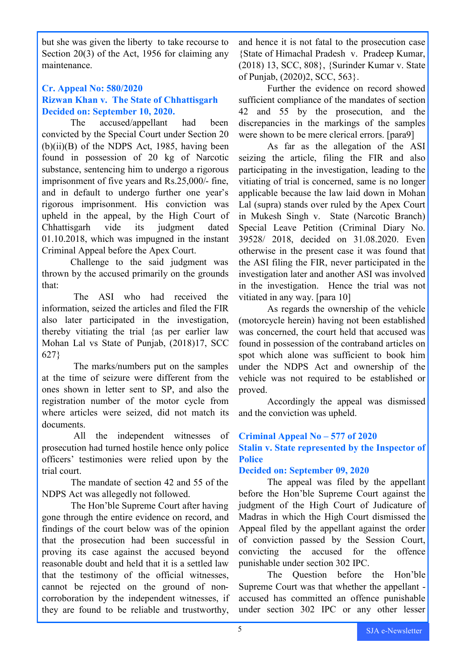but she was given the liberty to take recourse to Section 20(3) of the Act, 1956 for claiming any maintenance.

#### **Cr. Appeal No: 580/2020 Rizwan Khan v. The State of Chhattisgarh Decided on: September 10, 2020.**

The accused/appellant had been convicted by the Special Court under Section 20  $(b)(ii)(B)$  of the NDPS Act, 1985, having been found in possession of 20 kg of Narcotic substance, sentencing him to undergo a rigorous imprisonment of five years and Rs.25,000/- fine, and in default to undergo further one year's rigorous imprisonment. His conviction was upheld in the appeal, by the High Court of Chhattisgarh vide its judgment dated 01.10.2018, which was impugned in the instant Criminal Appeal before the Apex Court.

Challenge to the said judgment was thrown by the accused primarily on the grounds that:

The ASI who had received the information, seized the articles and filed the FIR also later participated in the investigation, thereby vitiating the trial {as per earlier law Mohan Lal vs State of Punjab, (2018)17, SCC 627}

The marks/numbers put on the samples at the time of seizure were different from the ones shown in letter sent to SP, and also the registration number of the motor cycle from where articles were seized, did not match its documents.

All the independent witnesses of prosecution had turned hostile hence only police officers' testimonies were relied upon by the trial court.

The mandate of section 42 and 55 of the NDPS Act was allegedly not followed.

The Hon'ble Supreme Court after having gone through the entire evidence on record, and findings of the court below was of the opinion that the prosecution had been successful in proving its case against the accused beyond reasonable doubt and held that it is a settled law that the testimony of the official witnesses, cannot be rejected on the ground of noncorroboration by the independent witnesses, if they are found to be reliable and trustworthy,

and hence it is not fatal to the prosecution case {State of Himachal Pradesh v. Pradeep Kumar, (2018) 13, SCC, 808}, {Surinder Kumar v. State of Punjab, (2020)2, SCC, 563}.

Further the evidence on record showed sufficient compliance of the mandates of section 42 and 55 by the prosecution, and the discrepancies in the markings of the samples were shown to be mere clerical errors. [para9]

As far as the allegation of the ASI seizing the article, filing the FIR and also participating in the investigation, leading to the vitiating of trial is concerned, same is no longer applicable because the law laid down in Mohan Lal (supra) stands over ruled by the Apex Court in Mukesh Singh v. State (Narcotic Branch) Special Leave Petition (Criminal Diary No. 39528/ 2018, decided on 31.08.2020. Even otherwise in the present case it was found that the ASI filing the FIR, never participated in the investigation later and another ASI was involved in the investigation. Hence the trial was not vitiated in any way. [para 10]

As regards the ownership of the vehicle (motorcycle herein) having not been established was concerned, the court held that accused was found in possession of the contraband articles on spot which alone was sufficient to book him under the NDPS Act and ownership of the vehicle was not required to be established or proved.

Accordingly the appeal was dismissed and the conviction was upheld.

#### **Criminal Appeal No – 577 of 2020 Stalin v. State represented by the Inspector of Police**

#### **Decided on: September 09, 2020**

The appeal was filed by the appellant before the Hon'ble Supreme Court against the judgment of the High Court of Judicature of Madras in which the High Court dismissed the Appeal filed by the appellant against the order of conviction passed by the Session Court, convicting the accused for the offence punishable under section 302 IPC.

The Question before the Hon'ble Supreme Court was that whether the appellant accused has committed an offence punishable under section 302 IPC or any other lesser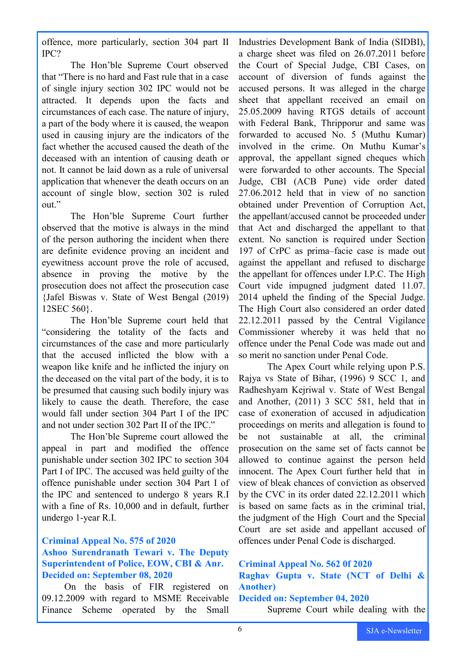offence, more particularly, section 304 part II IPC?

The Hon'ble Supreme Court observed that "There is no hard and Fast rule that in a case of single injury section 302 IPC would not be attracted. It depends upon the facts and circumstances of each case. The nature of injury, a part of the body where it is caused, the weapon used in causing injury are the indicators of the fact whether the accused caused the death of the deceased with an intention of causing death or not. It cannot be laid down as a rule of universal application that whenever the death occurs on an account of single blow, section 302 is ruled out."

The Hon'ble Supreme Court further observed that the motive is always in the mind of the person authoring the incident when there are definite evidence proving an incident and eyewitness account prove the role of accused, absence in proving the motive by the prosecution does not affect the prosecution case {Jafel Biswas v. State of West Bengal (2019) 12SEC 560}.

The Hon'ble Supreme court held that "considering the totality of the facts and circumstances of the case and more particularly that the accused inflicted the blow with a weapon like knife and he inflicted the injury on the deceased on the vital part of the body, it is to be presumed that causing such bodily injury was likely to cause the death. Therefore, the case would fall under section 304 Part I of the IPC and not under section 302 Part II of the IPC."

The Hon'ble Supreme court allowed the appeal in part and modified the offence punishable under section 302 IPC to section 304 Part I of IPC. The accused was held guilty of the offence punishable under section 304 Part I of the IPC and sentenced to undergo 8 years R.I with a fine of Rs. 10,000 and in default, further undergo 1-year R.I.

#### **Criminal Appeal No. 575 of 2020**

#### **Ashoo Surendranath Tewari v. The Deputy Superintendent of Police, EOW, CBI & Anr. Decided on: September 08, 2020**

On the basis of FIR registered on 09.12.2009 with regard to MSME Receivable Finance Scheme operated by the Small

Industries Development Bank of India (SIDBI), a charge sheet was filed on 26.07.2011 before the Court of Special Judge, CBI Cases, on account of diversion of funds against the accused persons. It was alleged in the charge sheet that appellant received an email on 25.05.2009 having RTGS details of account with Federal Bank, Thripporur and same was forwarded to accused No. 5 (Muthu Kumar) involved in the crime. On Muthu Kumar's approval, the appellant signed cheques which were forwarded to other accounts. The Special Judge, CBI (ACB Pune) vide order dated 27.06.2012 held that in view of no sanction obtained under Prevention of Corruption Act, the appellant/accused cannot be proceeded under that Act and discharged the appellant to that extent. No sanction is required under Section 197 of CrPC as prima–facie case is made out against the appellant and refused to discharge the appellant for offences under I.P.C. The High Court vide impugned judgment dated 11.07. 2014 upheld the finding of the Special Judge. The High Court also considered an order dated 22.12.2011 passed by the Central Vigilance Commissioner whereby it was held that no offence under the Penal Code was made out and so merit no sanction under Penal Code.

The Apex Court while relying upon P.S. Rajya vs State of Bihar, (1996) 9 SCC 1, and Radheshyam Kejriwal v. State of West Bengal and Another, (2011) 3 SCC 581, held that in case of exoneration of accused in adjudication proceedings on merits and allegation is found to be not sustainable at all, the criminal prosecution on the same set of facts cannot be allowed to continue against the person held innocent. The Apex Court further held that in view of bleak chances of conviction as observed by the CVC in its order dated 22.12.2011 which is based on same facts as in the criminal trial, the judgment of the High Court and the Special Court are set aside and appellant accused of offences under Penal Code is discharged.

#### **Criminal Appeal No. 562 0f 2020**

### **Raghav Gupta v. State (NCT of Delhi & Another)**

#### **Decided on: September 04, 2020**

Supreme Court while dealing with the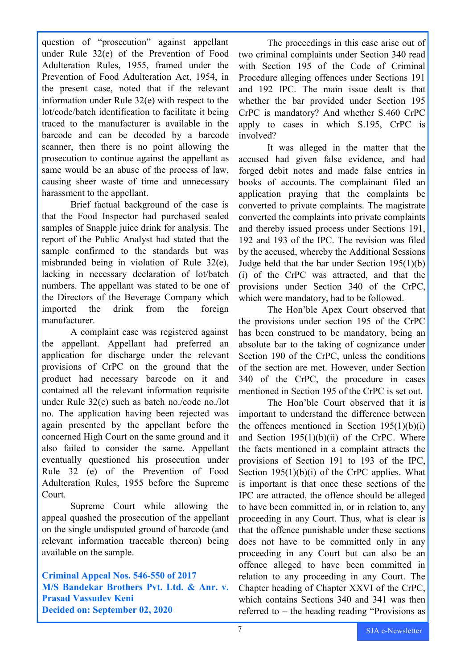question of "prosecution" against appellant under Rule 32(e) of the Prevention of Food Adulteration Rules, 1955, framed under the Prevention of Food Adulteration Act, 1954, in the present case, noted that if the relevant information under Rule 32(e) with respect to the lot/code/batch identification to facilitate it being traced to the manufacturer is available in the barcode and can be decoded by a barcode scanner, then there is no point allowing the prosecution to continue against the appellant as same would be an abuse of the process of law, causing sheer waste of time and unnecessary harassment to the appellant.

Brief factual background of the case is that the Food Inspector had purchased sealed samples of Snapple juice drink for analysis. The report of the Public Analyst had stated that the sample confirmed to the standards but was misbranded being in violation of Rule 32(e), lacking in necessary declaration of lot/batch numbers. The appellant was stated to be one of the Directors of the Beverage Company which imported the drink from the foreign manufacturer.

A complaint case was registered against the appellant. Appellant had preferred an application for discharge under the relevant provisions of CrPC on the ground that the product had necessary barcode on it and contained all the relevant information requisite under Rule 32(e) such as batch no./code no./lot no. The application having been rejected was again presented by the appellant before the concerned High Court on the same ground and it also failed to consider the same. Appellant eventually questioned his prosecution under Rule 32 (e) of the Prevention of Food Adulteration Rules, 1955 before the Supreme Court.

Supreme Court while allowing the appeal quashed the prosecution of the appellant on the single undisputed ground of barcode (and relevant information traceable thereon) being available on the sample.

**Criminal Appeal Nos. 546-550 of 2017 M/S Bandekar Brothers Pvt. Ltd. & Anr. v. Prasad Vassudev Keni Decided on: September 02, 2020**

The proceedings in this case arise out of two criminal complaints under Section 340 read with Section 195 of the Code of Criminal Procedure alleging offences under Sections 191 and 192 IPC. The main issue dealt is that whether the bar provided under Section 195 CrPC is mandatory? And whether S.460 CrPC apply to cases in which S.195, CrPC is involved?

It was alleged in the matter that the accused had given false evidence, and had forged debit notes and made false entries in books of accounts. The complainant filed an application praying that the complaints be converted to private complaints. The magistrate converted the complaints into private complaints and thereby issued process under Sections 191, 192 and 193 of the IPC. The revision was filed by the accused, whereby the Additional Sessions Judge held that the bar under Section 195(1)(b) (i) of the CrPC was attracted, and that the provisions under Section 340 of the CrPC, which were mandatory, had to be followed.

The Hon'ble Apex Court observed that the provisions under section 195 of the CrPC has been construed to be mandatory, being an absolute bar to the taking of cognizance under Section 190 of the CrPC, unless the conditions of the section are met. However, under Section 340 of the CrPC, the procedure in cases mentioned in Section 195 of the CrPC is set out.

The Hon'ble Court observed that it is important to understand the difference between the offences mentioned in Section  $195(1)(b)(i)$ and Section  $195(1)(b)(ii)$  of the CrPC. Where the facts mentioned in a complaint attracts the provisions of Section 191 to 193 of the IPC, Section 195(1)(b)(i) of the CrPC applies. What is important is that once these sections of the IPC are attracted, the offence should be alleged to have been committed in, or in relation to, any proceeding in any Court. Thus, what is clear is that the offence punishable under these sections does not have to be committed only in any proceeding in any Court but can also be an offence alleged to have been committed in relation to any proceeding in any Court. The Chapter heading of Chapter XXVI of the CrPC, which contains Sections 340 and 341 was then referred to – the heading reading "Provisions as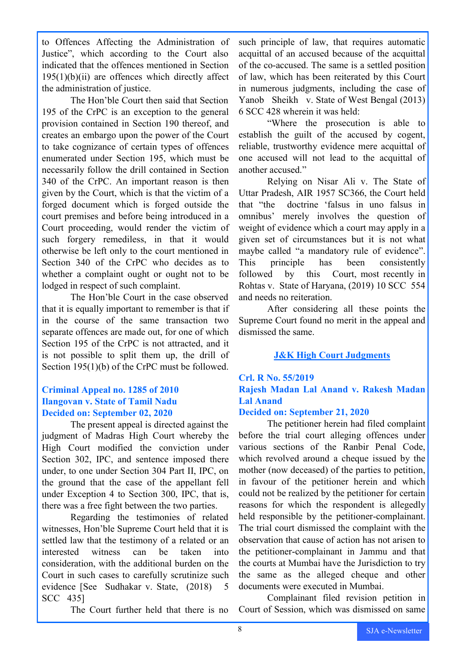to Offences Affecting the Administration of Justice", which according to the Court also indicated that the offences mentioned in Section  $195(1)(b)(ii)$  are offences which directly affect the administration of justice.

The Hon'ble Court then said that Section 195 of the CrPC is an exception to the general provision contained in Section 190 thereof, and creates an embargo upon the power of the Court to take cognizance of certain types of offences enumerated under Section 195, which must be necessarily follow the drill contained in Section 340 of the CrPC. An important reason is then given by the Court, which is that the victim of a forged document which is forged outside the court premises and before being introduced in a Court proceeding, would render the victim of such forgery remediless, in that it would otherwise be left only to the court mentioned in Section 340 of the CrPC who decides as to whether a complaint ought or ought not to be lodged in respect of such complaint.

The Hon'ble Court in the case observed that it is equally important to remember is that if in the course of the same transaction two separate offences are made out, for one of which Section 195 of the CrPC is not attracted, and it is not possible to split them up, the drill of Section 195(1)(b) of the CrPC must be followed.

#### **Criminal Appeal no. 1285 of 2010 Ilangovan v. State of Tamil Nadu Decided on: September 02, 2020**

The present appeal is directed against the judgment of Madras High Court whereby the High Court modified the conviction under Section 302, IPC, and sentence imposed there under, to one under Section 304 Part II, IPC, on the ground that the case of the appellant fell under Exception 4 to Section 300, IPC, that is, there was a free fight between the two parties.

Regarding the testimonies of related witnesses, Hon'ble Supreme Court held that it is settled law that the testimony of a related or an interested witness can be taken into consideration, with the additional burden on the Court in such cases to carefully scrutinize such evidence [See Sudhakar v. State, (2018) 5 SCC 435]

The Court further held that there is no

such principle of law, that requires automatic acquittal of an accused because of the acquittal of the co-accused. The same is a settled position of law, which has been reiterated by this Court in numerous judgments, including the case of Yanob Sheikh v. State of West Bengal (2013) 6 SCC 428 wherein it was held:

"Where the prosecution is able to establish the guilt of the accused by cogent, reliable, trustworthy evidence mere acquittal of one accused will not lead to the acquittal of another accused."

Relying on Nisar Ali v. The State of Uttar Pradesh, AIR 1957 SC366, the Court held that "the doctrine 'falsus in uno falsus in omnibus' merely involves the question of weight of evidence which a court may apply in a given set of circumstances but it is not what maybe called "a mandatory rule of evidence". This principle has been consistently followed by this Court, most recently in Rohtas v. State of Haryana, (2019) 10 SCC 554 and needs no reiteration.

After considering all these points the Supreme Court found no merit in the appeal and dismissed the same.

#### **J&K High Court Judgments**

# **Crl. R No. 55/2019**

#### **Rajesh Madan Lal Anand v. Rakesh Madan Lal Anand**

#### **Decided on: September 21, 2020**

The petitioner herein had filed complaint before the trial court alleging offences under various sections of the Ranbir Penal Code, which revolved around a cheque issued by the mother (now deceased) of the parties to petition, in favour of the petitioner herein and which could not be realized by the petitioner for certain reasons for which the respondent is allegedly held responsible by the petitioner-complainant. The trial court dismissed the complaint with the observation that cause of action has not arisen to the petitioner-complainant in Jammu and that the courts at Mumbai have the Jurisdiction to try the same as the alleged cheque and other documents were executed in Mumbai.

Complainant filed revision petition in Court of Session, which was dismissed on same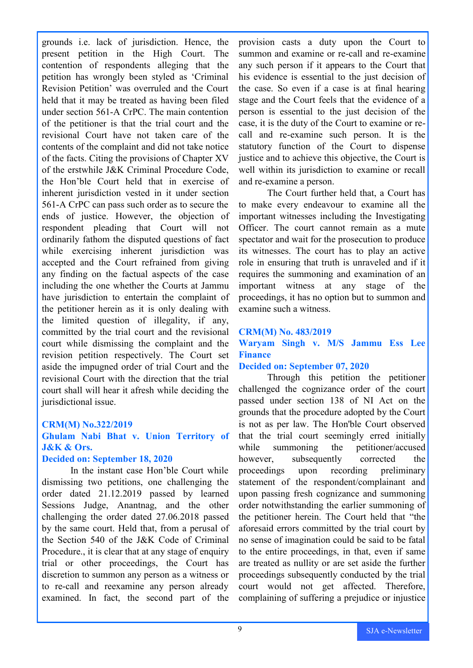grounds i.e. lack of jurisdiction. Hence, the present petition in the High Court. The contention of respondents alleging that the petition has wrongly been styled as 'Criminal Revision Petition' was overruled and the Court held that it may be treated as having been filed under section 561-A CrPC. The main contention of the petitioner is that the trial court and the revisional Court have not taken care of the contents of the complaint and did not take notice of the facts. Citing the provisions of Chapter XV of the erstwhile J&K Criminal Procedure Code, the Hon'ble Court held that in exercise of inherent jurisdiction vested in it under section 561-A CrPC can pass such order as to secure the ends of justice. However, the objection of respondent pleading that Court will not ordinarily fathom the disputed questions of fact while exercising inherent jurisdiction was accepted and the Court refrained from giving any finding on the factual aspects of the case including the one whether the Courts at Jammu have jurisdiction to entertain the complaint of the petitioner herein as it is only dealing with the limited question of illegality, if any, committed by the trial court and the revisional court while dismissing the complaint and the revision petition respectively. The Court set aside the impugned order of trial Court and the revisional Court with the direction that the trial court shall will hear it afresh while deciding the jurisdictional issue.

#### **CRM(M) No.322/2019**

#### **Ghulam Nabi Bhat v. Union Territory of J&K & Ors.**

#### **Decided on: September 18, 2020**

In the instant case Hon'ble Court while dismissing two petitions, one challenging the order dated 21.12.2019 passed by learned Sessions Judge, Anantnag, and the other challenging the order dated 27.06.2018 passed by the same court. Held that, from a perusal of the Section 540 of the J&K Code of Criminal Procedure., it is clear that at any stage of enquiry trial or other proceedings, the Court has discretion to summon any person as a witness or to re-call and reexamine any person already examined. In fact, the second part of the

provision casts a duty upon the Court to summon and examine or re-call and re-examine any such person if it appears to the Court that his evidence is essential to the just decision of the case. So even if a case is at final hearing stage and the Court feels that the evidence of a person is essential to the just decision of the case, it is the duty of the Court to examine or recall and re-examine such person. It is the statutory function of the Court to dispense justice and to achieve this objective, the Court is well within its jurisdiction to examine or recall and re-examine a person.

The Court further held that, a Court has to make every endeavour to examine all the important witnesses including the Investigating Officer. The court cannot remain as a mute spectator and wait for the prosecution to produce its witnesses. The court has to play an active role in ensuring that truth is unraveled and if it requires the summoning and examination of an important witness at any stage of the proceedings, it has no option but to summon and examine such a witness.

#### **CRM(M) No. 483/2019**

#### **Waryam Singh v. M/S Jammu Ess Lee Finance**

#### **Decided on: September 07, 2020**

Through this petition the petitioner challenged the cognizance order of the court passed under section 138 of NI Act on the grounds that the procedure adopted by the Court is not as per law. The Hon'ble Court observed that the trial court seemingly erred initially while summoning the petitioner/accused however, subsequently corrected the proceedings upon recording preliminary statement of the respondent/complainant and upon passing fresh cognizance and summoning order notwithstanding the earlier summoning of the petitioner herein. The Court held that "the aforesaid errors committed by the trial court by no sense of imagination could be said to be fatal to the entire proceedings, in that, even if same are treated as nullity or are set aside the further proceedings subsequently conducted by the trial court would not get affected. Therefore, complaining of suffering a prejudice or injustice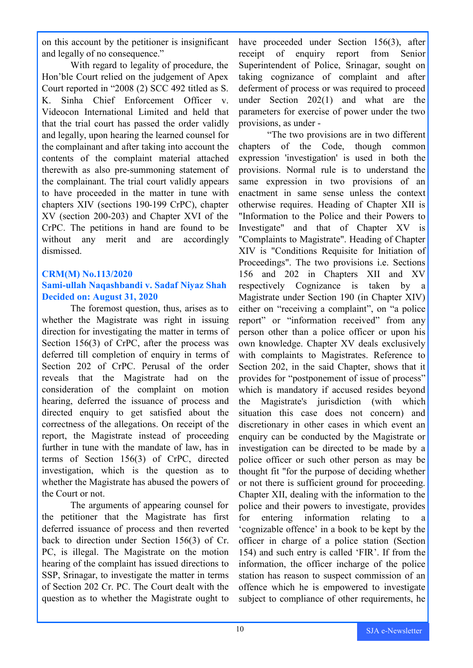on this account by the petitioner is insignificant and legally of no consequence."

With regard to legality of procedure, the Hon'ble Court relied on the judgement of Apex Court reported in "2008 (2) SCC 492 titled as S. K. Sinha Chief Enforcement Officer v. Videocon International Limited and held that that the trial court has passed the order validly and legally, upon hearing the learned counsel for the complainant and after taking into account the contents of the complaint material attached therewith as also pre-summoning statement of the complainant. The trial court validly appears to have proceeded in the matter in tune with chapters XIV (sections 190-199 CrPC), chapter XV (section 200-203) and Chapter XVI of the CrPC. The petitions in hand are found to be without any merit and are accordingly dismissed.

#### **CRM(M) No.113/2020 Sami-ullah Naqashbandi v. Sadaf Niyaz Shah Decided on: August 31, 2020**

The foremost question, thus, arises as to whether the Magistrate was right in issuing direction for investigating the matter in terms of Section 156(3) of CrPC, after the process was deferred till completion of enquiry in terms of Section 202 of CrPC. Perusal of the order reveals that the Magistrate had on the consideration of the complaint on motion hearing, deferred the issuance of process and directed enquiry to get satisfied about the correctness of the allegations. On receipt of the report, the Magistrate instead of proceeding further in tune with the mandate of law, has in terms of Section 156(3) of CrPC, directed investigation, which is the question as to whether the Magistrate has abused the powers of the Court or not.

The arguments of appearing counsel for the petitioner that the Magistrate has first deferred issuance of process and then reverted back to direction under Section 156(3) of Cr. PC, is illegal. The Magistrate on the motion hearing of the complaint has issued directions to SSP, Srinagar, to investigate the matter in terms of Section 202 Cr. PC. The Court dealt with the question as to whether the Magistrate ought to

have proceeded under Section 156(3), after receipt of enquiry report from Senior Superintendent of Police, Srinagar, sought on taking cognizance of complaint and after deferment of process or was required to proceed under Section 202(1) and what are the parameters for exercise of power under the two provisions, as under -

"The two provisions are in two different chapters of the Code, though common expression 'investigation' is used in both the provisions. Normal rule is to understand the same expression in two provisions of an enactment in same sense unless the context otherwise requires. Heading of Chapter XII is "Information to the Police and their Powers to Investigate" and that of Chapter XV is "Complaints to Magistrate". Heading of Chapter XIV is "Conditions Requisite for Initiation of Proceedings". The two provisions i.e. Sections 156 and 202 in Chapters XII and XV respectively Cognizance is taken by Magistrate under Section 190 (in Chapter XIV) either on "receiving a complaint", on "a police report" or "information received" from any person other than a police officer or upon his own knowledge. Chapter XV deals exclusively with complaints to Magistrates. Reference to Section 202, in the said Chapter, shows that it provides for "postponement of issue of process" which is mandatory if accused resides beyond the Magistrate's jurisdiction (with which situation this case does not concern) and discretionary in other cases in which event an enquiry can be conducted by the Magistrate or investigation can be directed to be made by a police officer or such other person as may be thought fit "for the purpose of deciding whether or not there is sufficient ground for proceeding. Chapter XII, dealing with the information to the police and their powers to investigate, provides for entering information relating to a 'cognizable offence' in a book to be kept by the officer in charge of a police station (Section 154) and such entry is called 'FIR'. If from the information, the officer incharge of the police station has reason to suspect commission of an offence which he is empowered to investigate subject to compliance of other requirements, he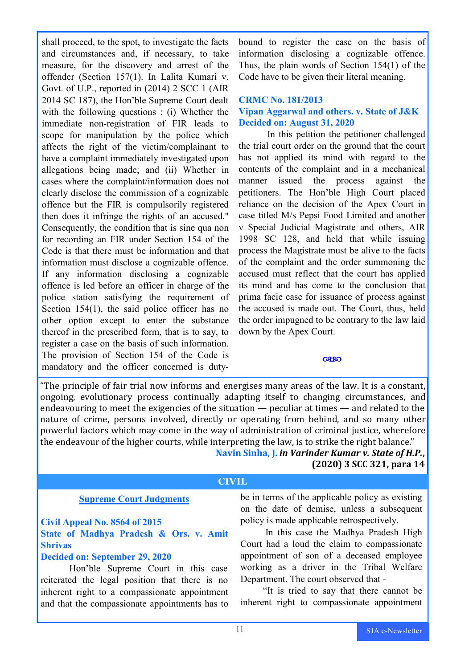shall proceed, to the spot, to investigate the facts and circumstances and, if necessary, to take measure, for the discovery and arrest of the offender (Section 157(1). In Lalita Kumari v. Govt. of U.P., reported in (2014) 2 SCC 1 (AIR 2014 SC 187), the Hon'ble Supreme Court dealt with the following questions : (i) Whether the immediate non-registration of FIR leads to scope for manipulation by the police which affects the right of the victim/complainant to have a complaint immediately investigated upon allegations being made; and (ii) Whether in cases where the complaint/information does not clearly disclose the commission of a cognizable offence but the FIR is compulsorily registered then does it infringe the rights of an accused." Consequently, the condition that is sine qua non for recording an FIR under Section 154 of the Code is that there must be information and that information must disclose a cognizable offence. If any information disclosing a cognizable offence is led before an officer in charge of the police station satisfying the requirement of Section 154(1), the said police officer has no other option except to enter the substance thereof in the prescribed form, that is to say, to register a case on the basis of such information. The provision of Section 154 of the Code is mandatory and the officer concerned is dutybound to register the case on the basis of information disclosing a cognizable offence. Thus, the plain words of Section 154(1) of the Code have to be given their literal meaning.

#### **CRMC No. 181/2013**

#### **Vipan Aggarwal and others. v. State of J&K Decided on: August 31, 2020**

In this petition the petitioner challenged the trial court order on the ground that the court has not applied its mind with regard to the contents of the complaint and in a mechanical manner issued the process against the petitioners. The Hon'ble High Court placed reliance on the decision of the Apex Court in case titled M/s Pepsi Food Limited and another v Special Judicial Magistrate and others, AIR 1998 SC 128, and held that while issuing process the Magistrate must be alive to the facts of the complaint and the order summoning the accused must reflect that the court has applied its mind and has come to the conclusion that prima facie case for issuance of process against the accused is made out. The Court, thus, held the order impugned to be contrary to the law laid down by the Apex Court.

#### $\alpha$ so

"The principle of fair trial now informs and energises many areas of the law. It is a constant, ongoing, evolutionary process continually adapting itself to changing circumstances, and endeavouring to meet the exigencies of the situation — peculiar at times — and related to the nature of crime, persons involved, directly or operating from behind, and so many other powerful factors which may come in the way of administration of criminal justice, wherefore the endeavour of the higher courts, while interpreting the law, is to strike the right balance."

> **Navin Sinha, J.** *in Varinder Kumar v. State of H.P.***, (2020) 3 SCC 321, para 14**

#### **CIVIL**

#### **Supreme Court Judgments**

#### **Civil Appeal No. 8564 of 2015**

#### **State of Madhya Pradesh & Ors. v. Amit Shrivas**

#### **Decided on: September 29, 2020**

Hon'ble Supreme Court in this case reiterated the legal position that there is no inherent right to a compassionate appointment and that the compassionate appointments has to be in terms of the applicable policy as existing on the date of demise, unless a subsequent policy is made applicable retrospectively.

In this case the Madhya Pradesh High Court had a loud the claim to compassionate appointment of son of a deceased employee working as a driver in the Tribal Welfare Department. The court observed that -

"It is tried to say that there cannot be inherent right to compassionate appointment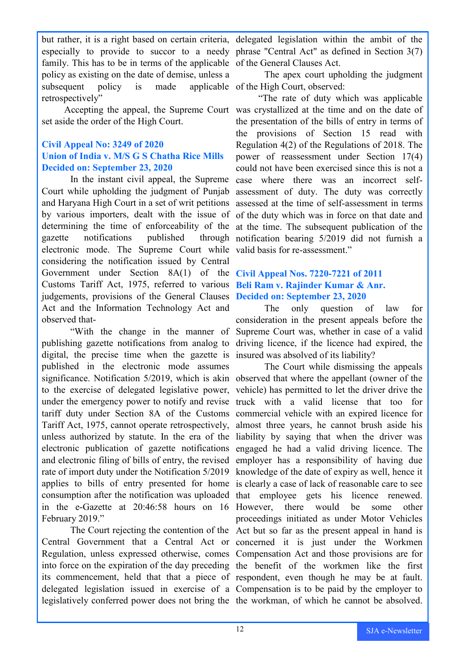but rather, it is a right based on certain criteria, delegated legislation within the ambit of the especially to provide to succor to a needy phrase "Central Act" as defined in Section 3(7) family. This has to be in terms of the applicable of the General Clauses Act. policy as existing on the date of demise, unless a subsequent policy is made retrospectively"

set aside the order of the High Court.

#### **Civil Appeal No: 3249 of 2020 Union of India v. M/S G S Chatha Rice Mills Decided on: September 23, 2020**

Court while upholding the judgment of Punjab assessment of duty. The duty was correctly and Haryana High Court in a set of writ petitions assessed at the time of self-assessment in terms by various importers, dealt with the issue of of the duty which was in force on that date and determining the time of enforceability of the at the time. The subsequent publication of the gazette notifications published electronic mode. The Supreme Court while valid basis for re-assessment." considering the notification issued by Central Government under Section 8A(1) of the **Civil Appeal Nos. 7220-7221 of 2011** Customs Tariff Act, 1975, referred to various **Beli Ram v. Rajinder Kumar & Anr.** judgements, provisions of the General Clauses **Decided on: September 23, 2020** Act and the Information Technology Act and observed that-

publishing gazette notifications from analog to driving licence, if the licence had expired, the digital, the precise time when the gazette is insured was absolved of its liability? published in the electronic mode assumes significance. Notification 5/2019, which is akin observed that where the appellant (owner of the to the exercise of delegated legislative power, vehicle) has permitted to let the driver drive the under the emergency power to notify and revise truck with a valid license that too for tariff duty under Section 8A of the Customs commercial vehicle with an expired licence for Tariff Act, 1975, cannot operate retrospectively, almost three years, he cannot brush aside his unless authorized by statute. In the era of the liability by saying that when the driver was electronic publication of gazette notifications engaged he had a valid driving licence. The and electronic filing of bills of entry, the revised employer has a responsibility of having due rate of import duty under the Notification 5/2019 knowledge of the date of expiry as well, hence it applies to bills of entry presented for home is clearly a case of lack of reasonable care to see consumption after the notification was uploaded that employee gets his licence renewed. in the e-Gazette at 20:46:58 hours on 16 However, there would be some other February 2019."

Central Government that a Central Act or concerned it is just under the Workmen Regulation, unless expressed otherwise, comes Compensation Act and those provisions are for into force on the expiration of the day preceding the benefit of the workmen like the first its commencement, held that that a piece of respondent, even though he may be at fault. delegated legislation issued in exercise of a Compensation is to be paid by the employer to legislatively conferred power does not bring the the workman, of which he cannot be absolved.

The apex court upholding the judgment applicable of the High Court, observed:

Accepting the appeal, the Supreme Court was crystallized at the time and on the date of In the instant civil appeal, the Supreme case where there was an incorrect self-"The rate of duty which was applicable the presentation of the bills of entry in terms of the provisions of Section 15 read with Regulation 4(2) of the Regulations of 2018. The power of reassessment under Section 17(4) could not have been exercised since this is not a through notification bearing 5/2019 did not furnish a

"With the change in the manner of Supreme Court was, whether in case of a valid The only question of law for consideration in the present appeals before the

The Court rejecting the contention of the Act but so far as the present appeal in hand is The Court while dismissing the appeals proceedings initiated as under Motor Vehicles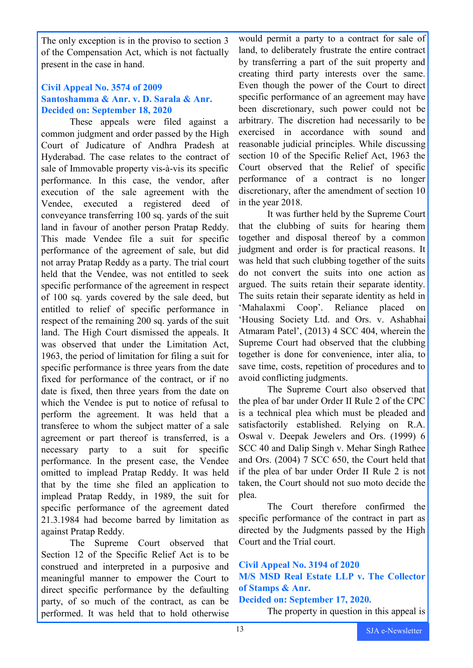The only exception is in the proviso to section 3 of the Compensation Act, which is not factually present in the case in hand.

#### **Civil Appeal No. 3574 of 2009 Santoshamma & Anr. v. D. Sarala & Anr. Decided on: September 18, 2020**

These appeals were filed against a common judgment and order passed by the High Court of Judicature of Andhra Pradesh at Hyderabad. The case relates to the contract of sale of Immovable property vis-à-vis its specific performance. In this case, the vendor, after execution of the sale agreement with the Vendee, executed a registered deed of conveyance transferring 100 sq. yards of the suit land in favour of another person Pratap Reddy. This made Vendee file a suit for specific performance of the agreement of sale, but did not array Pratap Reddy as a party. The trial court held that the Vendee, was not entitled to seek specific performance of the agreement in respect of 100 sq. yards covered by the sale deed, but entitled to relief of specific performance in respect of the remaining 200 sq. yards of the suit land. The High Court dismissed the appeals. It was observed that under the Limitation Act, 1963, the period of limitation for filing a suit for specific performance is three years from the date fixed for performance of the contract, or if no date is fixed, then three years from the date on which the Vendee is put to notice of refusal to perform the agreement. It was held that a transferee to whom the subject matter of a sale agreement or part thereof is transferred, is a necessary party to a suit for specific performance. In the present case, the Vendee omitted to implead Pratap Reddy. It was held that by the time she filed an application to implead Pratap Reddy, in 1989, the suit for specific performance of the agreement dated 21.3.1984 had become barred by limitation as against Pratap Reddy.

The Supreme Court observed that Section 12 of the Specific Relief Act is to be construed and interpreted in a purposive and meaningful manner to empower the Court to direct specific performance by the defaulting party, of so much of the contract, as can be performed. It was held that to hold otherwise

would permit a party to a contract for sale of land, to deliberately frustrate the entire contract by transferring a part of the suit property and creating third party interests over the same. Even though the power of the Court to direct specific performance of an agreement may have been discretionary, such power could not be arbitrary. The discretion had necessarily to be exercised in accordance with sound and reasonable judicial principles. While discussing section 10 of the Specific Relief Act, 1963 the Court observed that the Relief of specific performance of a contract is no longer discretionary, after the amendment of section 10 in the year 2018.

It was further held by the Supreme Court that the clubbing of suits for hearing them together and disposal thereof by a common judgment and order is for practical reasons. It was held that such clubbing together of the suits do not convert the suits into one action as argued. The suits retain their separate identity. The suits retain their separate identity as held in 'Mahalaxmi Coop'. Reliance placed on 'Housing Society Ltd. and Ors. v. Ashabhai Atmaram Patel', (2013) 4 SCC 404, wherein the Supreme Court had observed that the clubbing together is done for convenience, inter alia, to save time, costs, repetition of procedures and to avoid conflicting judgments.

The Supreme Court also observed that the plea of bar under Order II Rule 2 of the CPC is a technical plea which must be pleaded and satisfactorily established. Relying on R.A. Oswal v. Deepak Jewelers and Ors. (1999) 6 SCC 40 and Dalip Singh v. Mehar Singh Rathee and Ors. (2004) 7 SCC 650, the Court held that if the plea of bar under Order II Rule 2 is not taken, the Court should not suo moto decide the plea.

The Court therefore confirmed the specific performance of the contract in part as directed by the Judgments passed by the High Court and the Trial court.

**Civil Appeal No. 3194 of 2020 M/S MSD Real Estate LLP v. The Collector of Stamps & Anr. Decided on: September 17, 2020.**

The property in question in this appeal is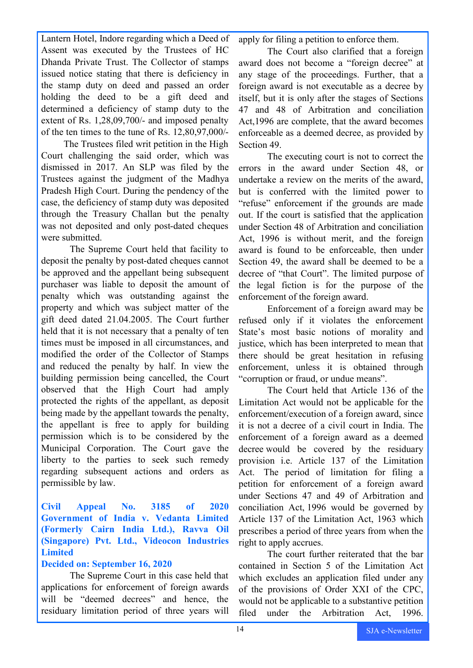Lantern Hotel, Indore regarding which a Deed of

Assent was executed by the Trustees of HC Dhanda Private Trust. The Collector of stamps issued notice stating that there is deficiency in the stamp duty on deed and passed an order holding the deed to be a gift deed and determined a deficiency of stamp duty to the extent of Rs. 1,28,09,700/- and imposed penalty of the ten times to the tune of Rs. 12,80,97,000/-

The Trustees filed writ petition in the High Court challenging the said order, which was dismissed in 2017. An SLP was filed by the Trustees against the judgment of the Madhya Pradesh High Court. During the pendency of the case, the deficiency of stamp duty was deposited through the Treasury Challan but the penalty was not deposited and only post-dated cheques were submitted.

The Supreme Court held that facility to deposit the penalty by post-dated cheques cannot be approved and the appellant being subsequent purchaser was liable to deposit the amount of penalty which was outstanding against the property and which was subject matter of the gift deed dated 21.04.2005. The Court further held that it is not necessary that a penalty of ten times must be imposed in all circumstances, and modified the order of the Collector of Stamps and reduced the penalty by half. In view the building permission being cancelled, the Court observed that the High Court had amply protected the rights of the appellant, as deposit being made by the appellant towards the penalty, the appellant is free to apply for building permission which is to be considered by the Municipal Corporation. The Court gave the liberty to the parties to seek such remedy regarding subsequent actions and orders as permissible by law.

**Civil Appeal No. 3185 of 2020 Government of India v. Vedanta Limited (Formerly Cairn India Ltd.), Ravva Oil (Singapore) Pvt. Ltd., Videocon Industries Limited** 

#### **Decided on: September 16, 2020**

The Supreme Court in this case held that applications for enforcement of foreign awards will be "deemed decrees" and hence, the residuary limitation period of three years will

apply for filing a petition to enforce them.

The Court also clarified that a foreign award does not become a "foreign decree" at any stage of the proceedings. Further, that a foreign award is not executable as a decree by itself, but it is only after the stages of Sections 47 and 48 of Arbitration and conciliation Act,1996 are complete, that the award becomes enforceable as a deemed decree, as provided by Section 49.

The executing court is not to correct the errors in the award under Section 48, or undertake a review on the merits of the award, but is conferred with the limited power to "refuse" enforcement if the grounds are made out. If the court is satisfied that the application under Section 48 of Arbitration and conciliation Act, 1996 is without merit, and the foreign award is found to be enforceable, then under Section 49, the award shall be deemed to be a decree of "that Court". The limited purpose of the legal fiction is for the purpose of the enforcement of the foreign award.

Enforcement of a foreign award may be refused only if it violates the enforcement State's most basic notions of morality and justice, which has been interpreted to mean that there should be great hesitation in refusing enforcement, unless it is obtained through "corruption or fraud, or undue means".

The Court held that Article 136 of the Limitation Act would not be applicable for the enforcement/execution of a foreign award, since it is not a decree of a civil court in India. The enforcement of a foreign award as a deemed decree would be covered by the residuary provision i.e. Article 137 of the Limitation Act. The period of limitation for filing a petition for enforcement of a foreign award under Sections 47 and 49 of Arbitration and conciliation Act, 1996 would be governed by Article 137 of the Limitation Act, 1963 which prescribes a period of three years from when the right to apply accrues.

The court further reiterated that the bar contained in Section 5 of the Limitation Act which excludes an application filed under any of the provisions of Order XXI of the CPC, would not be applicable to a substantive petition filed under the Arbitration Act, 1996.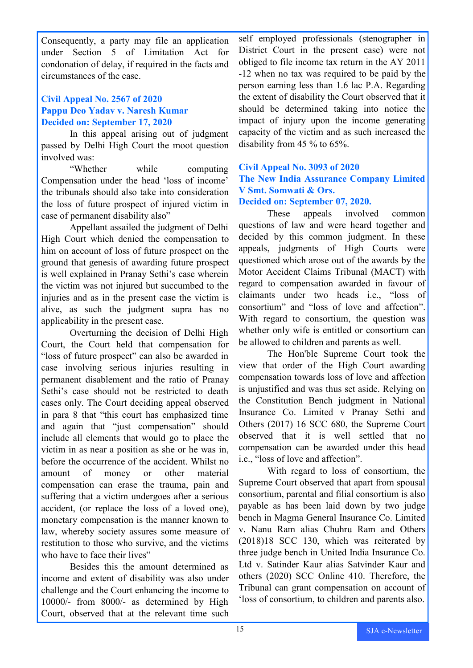Consequently, a party may file an application under Section 5 of Limitation Act for condonation of delay, if required in the facts and circumstances of the case.

#### **Civil Appeal No. 2567 of 2020 Pappu Deo Yadav v. Naresh Kumar Decided on: September 17, 2020**

In this appeal arising out of judgment passed by Delhi High Court the moot question involved was:

"Whether while computing Compensation under the head 'loss of income' the tribunals should also take into consideration the loss of future prospect of injured victim in case of permanent disability also"

Appellant assailed the judgment of Delhi High Court which denied the compensation to him on account of loss of future prospect on the ground that genesis of awarding future prospect is well explained in Pranay Sethi's case wherein the victim was not injured but succumbed to the injuries and as in the present case the victim is alive, as such the judgment supra has no applicability in the present case.

Overturning the decision of Delhi High Court, the Court held that compensation for "loss of future prospect" can also be awarded in case involving serious injuries resulting in permanent disablement and the ratio of Pranay Sethi's case should not be restricted to death cases only. The Court deciding appeal observed in para 8 that "this court has emphasized time and again that "just compensation" should include all elements that would go to place the victim in as near a position as she or he was in, before the occurrence of the accident. Whilst no amount of money or other material compensation can erase the trauma, pain and suffering that a victim undergoes after a serious accident, (or replace the loss of a loved one), monetary compensation is the manner known to law, whereby society assures some measure of restitution to those who survive, and the victims who have to face their lives"

Besides this the amount determined as income and extent of disability was also under challenge and the Court enhancing the income to 10000/- from 8000/- as determined by High Court, observed that at the relevant time such

self employed professionals (stenographer in District Court in the present case) were not obliged to file income tax return in the AY 2011 -12 when no tax was required to be paid by the person earning less than 1.6 lac P.A. Regarding the extent of disability the Court observed that it should be determined taking into notice the impact of injury upon the income generating capacity of the victim and as such increased the disability from 45 % to 65%.

# **Civil Appeal No. 3093 of 2020 The New India Assurance Company Limited V Smt. Somwati & Ors.**

#### **Decided on: September 07, 2020.**

These appeals involved common questions of law and were heard together and decided by this common judgment. In these appeals, judgments of High Courts were questioned which arose out of the awards by the Motor Accident Claims Tribunal (MACT) with regard to compensation awarded in favour of claimants under two heads i.e., "loss of consortium" and "loss of love and affection". With regard to consortium, the question was whether only wife is entitled or consortium can be allowed to children and parents as well.

The Hon'ble Supreme Court took the view that order of the High Court awarding compensation towards loss of love and affection is unjustified and was thus set aside. Relying on the Constitution Bench judgment in National Insurance Co. Limited v Pranay Sethi and Others (2017) 16 SCC 680, the Supreme Court observed that it is well settled that no compensation can be awarded under this head i.e., "loss of love and affection".

With regard to loss of consortium, the Supreme Court observed that apart from spousal consortium, parental and filial consortium is also payable as has been laid down by two judge bench in Magma General Insurance Co. Limited v. Nanu Ram alias Chuhru Ram and Others (2018)18 SCC 130, which was reiterated by three judge bench in United India Insurance Co. Ltd v. Satinder Kaur alias Satvinder Kaur and others (2020) SCC Online 410. Therefore, the Tribunal can grant compensation on account of 'loss of consortium, to children and parents also.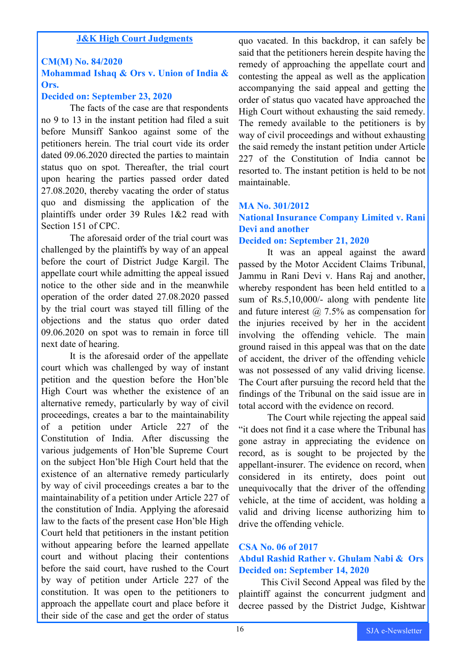#### **J&K High Court Judgments**

#### **CM(M) No. 84/2020**

#### **Mohammad Ishaq & Ors v. Union of India & Ors.**

#### **Decided on: September 23, 2020**

The facts of the case are that respondents no 9 to 13 in the instant petition had filed a suit before Munsiff Sankoo against some of the petitioners herein. The trial court vide its order dated 09.06.2020 directed the parties to maintain status quo on spot. Thereafter, the trial court upon hearing the parties passed order dated 27.08.2020, thereby vacating the order of status quo and dismissing the application of the plaintiffs under order 39 Rules 1&2 read with Section 151 of CPC.

The aforesaid order of the trial court was challenged by the plaintiffs by way of an appeal before the court of District Judge Kargil. The appellate court while admitting the appeal issued notice to the other side and in the meanwhile operation of the order dated 27.08.2020 passed by the trial court was stayed till filling of the objections and the status quo order dated 09.06.2020 on spot was to remain in force till next date of hearing.

It is the aforesaid order of the appellate court which was challenged by way of instant petition and the question before the Hon'ble High Court was whether the existence of an alternative remedy, particularly by way of civil proceedings, creates a bar to the maintainability of a petition under Article 227 of the Constitution of India. After discussing the various judgements of Hon'ble Supreme Court on the subject Hon'ble High Court held that the existence of an alternative remedy particularly by way of civil proceedings creates a bar to the maintainability of a petition under Article 227 of the constitution of India. Applying the aforesaid law to the facts of the present case Hon'ble High Court held that petitioners in the instant petition without appearing before the learned appellate court and without placing their contentions before the said court, have rushed to the Court by way of petition under Article 227 of the constitution. It was open to the petitioners to approach the appellate court and place before it their side of the case and get the order of status

quo vacated. In this backdrop, it can safely be said that the petitioners herein despite having the remedy of approaching the appellate court and contesting the appeal as well as the application accompanying the said appeal and getting the order of status quo vacated have approached the High Court without exhausting the said remedy. The remedy available to the petitioners is by way of civil proceedings and without exhausting the said remedy the instant petition under Article 227 of the Constitution of India cannot be resorted to. The instant petition is held to be not maintainable.

#### **MA No. 301/2012**

# **National Insurance Company Limited v. Rani Devi and another**

#### **Decided on: September 21, 2020**

It was an appeal against the award passed by the Motor Accident Claims Tribunal, Jammu in Rani Devi v. Hans Raj and another, whereby respondent has been held entitled to a sum of Rs.5,10,000/- along with pendente lite and future interest  $\omega$  7.5% as compensation for the injuries received by her in the accident involving the offending vehicle. The main ground raised in this appeal was that on the date of accident, the driver of the offending vehicle was not possessed of any valid driving license. The Court after pursuing the record held that the findings of the Tribunal on the said issue are in total accord with the evidence on record.

The Court while rejecting the appeal said "it does not find it a case where the Tribunal has gone astray in appreciating the evidence on record, as is sought to be projected by the appellant-insurer. The evidence on record, when considered in its entirety, does point out unequivocally that the driver of the offending vehicle, at the time of accident, was holding a valid and driving license authorizing him to drive the offending vehicle.

#### **CSA No. 06 of 2017 Abdul Rashid Rather v. Ghulam Nabi & Ors Decided on: September 14, 2020**

This Civil Second Appeal was filed by the plaintiff against the concurrent judgment and decree passed by the District Judge, Kishtwar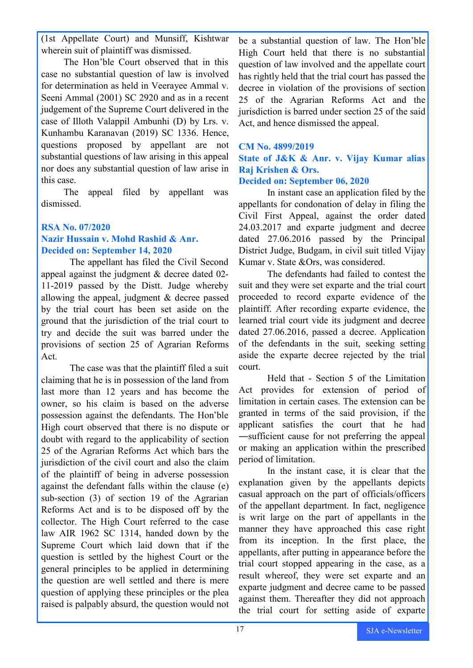(1st Appellate Court) and Munsiff, Kishtwar wherein suit of plaintiff was dismissed.

The Hon'ble Court observed that in this case no substantial question of law is involved for determination as held in Veerayee Ammal v. Seeni Ammal (2001) SC 2920 and as in a recent judgement of the Supreme Court delivered in the case of Illoth Valappil Ambunhi (D) by Lrs. v. Kunhambu Karanavan (2019) SC 1336. Hence, questions proposed by appellant are not substantial questions of law arising in this appeal nor does any substantial question of law arise in this case.

The appeal filed by appellant was dismissed.

#### **RSA No. 07/2020 Nazir Hussain v. Mohd Rashid & Anr. Decided on: September 14, 2020**

The appellant has filed the Civil Second appeal against the judgment & decree dated 02- 11-2019 passed by the Distt. Judge whereby allowing the appeal, judgment & decree passed by the trial court has been set aside on the ground that the jurisdiction of the trial court to try and decide the suit was barred under the provisions of section 25 of Agrarian Reforms Act.

The case was that the plaintiff filed a suit claiming that he is in possession of the land from last more than 12 years and has become the owner, so his claim is based on the adverse possession against the defendants. The Hon'ble High court observed that there is no dispute or doubt with regard to the applicability of section 25 of the Agrarian Reforms Act which bars the jurisdiction of the civil court and also the claim of the plaintiff of being in adverse possession against the defendant falls within the clause (e) sub-section (3) of section 19 of the Agrarian Reforms Act and is to be disposed off by the collector. The High Court referred to the case law AIR 1962 SC 1314, handed down by the Supreme Court which laid down that if the question is settled by the highest Court or the general principles to be applied in determining the question are well settled and there is mere question of applying these principles or the plea raised is palpably absurd, the question would not

be a substantial question of law. The Hon'ble High Court held that there is no substantial question of law involved and the appellate court has rightly held that the trial court has passed the decree in violation of the provisions of section 25 of the Agrarian Reforms Act and the jurisdiction is barred under section 25 of the said Act, and hence dismissed the appeal.

#### **CM No. 4899/2019 State of J&K & Anr. v. Vijay Kumar alias Raj Krishen & Ors.**

#### **Decided on: September 06, 2020**

In instant case an application filed by the appellants for condonation of delay in filing the Civil First Appeal, against the order dated 24.03.2017 and exparte judgment and decree dated 27.06.2016 passed by the Principal District Judge, Budgam, in civil suit titled Vijay Kumar v. State &Ors, was considered.

The defendants had failed to contest the suit and they were set exparte and the trial court proceeded to record exparte evidence of the plaintiff. After recording exparte evidence, the learned trial court vide its judgment and decree dated 27.06.2016, passed a decree. Application of the defendants in the suit, seeking setting aside the exparte decree rejected by the trial court.

Held that - Section 5 of the Limitation Act provides for extension of period of limitation in certain cases. The extension can be granted in terms of the said provision, if the applicant satisfies the court that he had ―sufficient cause for not preferring the appeal or making an application within the prescribed period of limitation.

In the instant case, it is clear that the explanation given by the appellants depicts casual approach on the part of officials/officers of the appellant department. In fact, negligence is writ large on the part of appellants in the manner they have approached this case right from its inception. In the first place, the appellants, after putting in appearance before the trial court stopped appearing in the case, as a result whereof, they were set exparte and an exparte judgment and decree came to be passed against them. Thereafter they did not approach the trial court for setting aside of exparte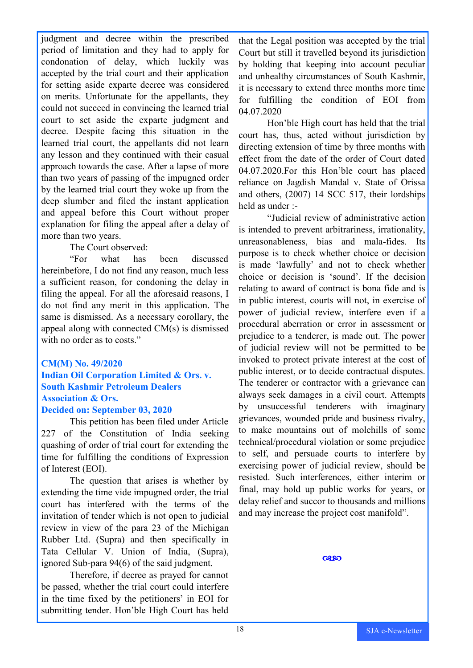judgment and decree within the prescribed period of limitation and they had to apply for condonation of delay, which luckily was accepted by the trial court and their application for setting aside exparte decree was considered on merits. Unfortunate for the appellants, they could not succeed in convincing the learned trial court to set aside the exparte judgment and decree. Despite facing this situation in the learned trial court, the appellants did not learn any lesson and they continued with their casual approach towards the case. After a lapse of more than two years of passing of the impugned order by the learned trial court they woke up from the deep slumber and filed the instant application and appeal before this Court without proper explanation for filing the appeal after a delay of more than two years.

#### The Court observed:

"For what has been discussed hereinbefore, I do not find any reason, much less a sufficient reason, for condoning the delay in filing the appeal. For all the aforesaid reasons, I do not find any merit in this application. The same is dismissed. As a necessary corollary, the appeal along with connected CM(s) is dismissed with no order as to costs."

#### **CM(M) No. 49/2020 Indian Oil Corporation Limited & Ors. v. South Kashmir Petroleum Dealers Association & Ors.**

#### **Decided on: September 03, 2020**

This petition has been filed under Article 227 of the Constitution of India seeking quashing of order of trial court for extending the time for fulfilling the conditions of Expression of Interest (EOI).

The question that arises is whether by extending the time vide impugned order, the trial court has interfered with the terms of the invitation of tender which is not open to judicial review in view of the para 23 of the Michigan Rubber Ltd. (Supra) and then specifically in Tata Cellular V. Union of India, (Supra), ignored Sub-para 94(6) of the said judgment.

Therefore, if decree as prayed for cannot be passed, whether the trial court could interfere in the time fixed by the petitioners' in EOI for submitting tender. Hon'ble High Court has held

that the Legal position was accepted by the trial Court but still it travelled beyond its jurisdiction by holding that keeping into account peculiar and unhealthy circumstances of South Kashmir, it is necessary to extend three months more time for fulfilling the condition of EOI from 04.07.2020

Hon'ble High court has held that the trial court has, thus, acted without jurisdiction by directing extension of time by three months with effect from the date of the order of Court dated 04.07.2020.For this Hon'ble court has placed reliance on Jagdish Mandal v. State of Orissa and others, (2007) 14 SCC 517, their lordships held as under :-

"Judicial review of administrative action is intended to prevent arbitrariness, irrationality, unreasonableness, bias and mala-fides. Its purpose is to check whether choice or decision is made 'lawfully' and not to check whether choice or decision is 'sound'. If the decision relating to award of contract is bona fide and is in public interest, courts will not, in exercise of power of judicial review, interfere even if a procedural aberration or error in assessment or prejudice to a tenderer, is made out. The power of judicial review will not be permitted to be invoked to protect private interest at the cost of public interest, or to decide contractual disputes. The tenderer or contractor with a grievance can always seek damages in a civil court. Attempts by unsuccessful tenderers with imaginary grievances, wounded pride and business rivalry, to make mountains out of molehills of some technical/procedural violation or some prejudice to self, and persuade courts to interfere by exercising power of judicial review, should be resisted. Such interferences, either interim or final, may hold up public works for years, or delay relief and succor to thousands and millions and may increase the project cost manifold".

**Q&SO**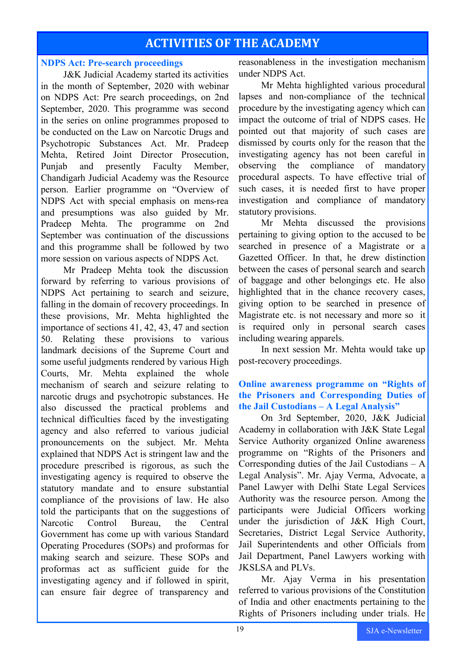# **ACTIVITIES OF THE ACADEMY**

#### **NDPS Act: Pre-search proceedings**

J&K Judicial Academy started its activities in the month of September, 2020 with webinar on NDPS Act: Pre search proceedings, on 2nd September, 2020. This programme was second in the series on online programmes proposed to be conducted on the Law on Narcotic Drugs and Psychotropic Substances Act. Mr. Pradeep Mehta, Retired Joint Director Prosecution, Punjab and presently Faculty Member, Chandigarh Judicial Academy was the Resource person. Earlier programme on "Overview of NDPS Act with special emphasis on mens-rea and presumptions was also guided by Mr. Pradeep Mehta. The programme on 2nd September was continuation of the discussions and this programme shall be followed by two more session on various aspects of NDPS Act.

Mr Pradeep Mehta took the discussion forward by referring to various provisions of NDPS Act pertaining to search and seizure, falling in the domain of recovery proceedings. In these provisions, Mr. Mehta highlighted the importance of sections 41, 42, 43, 47 and section 50. Relating these provisions to various landmark decisions of the Supreme Court and some useful judgments rendered by various High Courts, Mr. Mehta explained the whole mechanism of search and seizure relating to narcotic drugs and psychotropic substances. He also discussed the practical problems and technical difficulties faced by the investigating agency and also referred to various judicial pronouncements on the subject. Mr. Mehta explained that NDPS Act is stringent law and the procedure prescribed is rigorous, as such the investigating agency is required to observe the statutory mandate and to ensure substantial compliance of the provisions of law. He also told the participants that on the suggestions of Narcotic Control Bureau, the Central Government has come up with various Standard Operating Procedures (SOPs) and proformas for making search and seizure. These SOPs and proformas act as sufficient guide for the investigating agency and if followed in spirit, can ensure fair degree of transparency and

reasonableness in the investigation mechanism under NDPS Act.

Mr Mehta highlighted various procedural lapses and non-compliance of the technical procedure by the investigating agency which can impact the outcome of trial of NDPS cases. He pointed out that majority of such cases are dismissed by courts only for the reason that the investigating agency has not been careful in observing the compliance of mandatory procedural aspects. To have effective trial of such cases, it is needed first to have proper investigation and compliance of mandatory statutory provisions.

Mr Mehta discussed the provisions pertaining to giving option to the accused to be searched in presence of a Magistrate or a Gazetted Officer. In that, he drew distinction between the cases of personal search and search of baggage and other belongings etc. He also highlighted that in the chance recovery cases, giving option to be searched in presence of Magistrate etc. is not necessary and more so it is required only in personal search cases including wearing apparels.

In next session Mr. Mehta would take up post-recovery proceedings.

#### **Online awareness programme on "Rights of the Prisoners and Corresponding Duties of the Jail Custodians – A Legal Analysis"**

On 3rd September, 2020, J&K Judicial Academy in collaboration with J&K State Legal Service Authority organized Online awareness programme on "Rights of the Prisoners and Corresponding duties of the Jail Custodians – A Legal Analysis". Mr. Ajay Verma, Advocate, a Panel Lawyer with Delhi State Legal Services Authority was the resource person. Among the participants were Judicial Officers working under the jurisdiction of J&K High Court, Secretaries, District Legal Service Authority, Jail Superintendents and other Officials from Jail Department, Panel Lawyers working with JKSLSA and PLVs.

Mr. Ajay Verma in his presentation referred to various provisions of the Constitution of India and other enactments pertaining to the Rights of Prisoners including under trials. He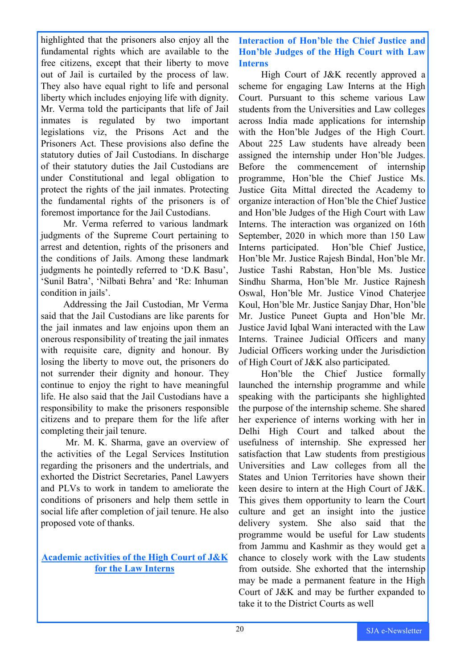highlighted that the prisoners also enjoy all the fundamental rights which are available to the free citizens, except that their liberty to move out of Jail is curtailed by the process of law. They also have equal right to life and personal liberty which includes enjoying life with dignity. Mr. Verma told the participants that life of Jail inmates is regulated by two important legislations viz, the Prisons Act and the Prisoners Act. These provisions also define the statutory duties of Jail Custodians. In discharge of their statutory duties the Jail Custodians are under Constitutional and legal obligation to protect the rights of the jail inmates. Protecting the fundamental rights of the prisoners is of foremost importance for the Jail Custodians.

Mr. Verma referred to various landmark judgments of the Supreme Court pertaining to arrest and detention, rights of the prisoners and the conditions of Jails. Among these landmark judgments he pointedly referred to 'D.K Basu', 'Sunil Batra', 'Nilbati Behra' and 'Re: Inhuman condition in jails'.

Addressing the Jail Custodian, Mr Verma said that the Jail Custodians are like parents for the jail inmates and law enjoins upon them an onerous responsibility of treating the jail inmates with requisite care, dignity and honour. By losing the liberty to move out, the prisoners do not surrender their dignity and honour. They continue to enjoy the right to have meaningful life. He also said that the Jail Custodians have a responsibility to make the prisoners responsible citizens and to prepare them for the life after completing their jail tenure.

Mr. M. K. Sharma, gave an overview of the activities of the Legal Services Institution regarding the prisoners and the undertrials, and exhorted the District Secretaries, Panel Lawyers and PLVs to work in tandem to ameliorate the conditions of prisoners and help them settle in social life after completion of jail tenure. He also proposed vote of thanks.

#### **Academic activities of the High Court of J&K for the Law Interns**

**Interaction of Hon'ble the Chief Justice and Hon'ble Judges of the High Court with Law Interns**

High Court of J&K recently approved a scheme for engaging Law Interns at the High Court. Pursuant to this scheme various Law students from the Universities and Law colleges across India made applications for internship with the Hon'ble Judges of the High Court. About 225 Law students have already been assigned the internship under Hon'ble Judges. Before the commencement of internship programme, Hon'ble the Chief Justice Ms. Justice Gita Mittal directed the Academy to organize interaction of Hon'ble the Chief Justice and Hon'ble Judges of the High Court with Law Interns. The interaction was organized on 16th September, 2020 in which more than 150 Law Interns participated. Hon'ble Chief Justice, Hon'ble Mr. Justice Rajesh Bindal, Hon'ble Mr. Justice Tashi Rabstan, Hon'ble Ms. Justice Sindhu Sharma, Hon'ble Mr. Justice Rajnesh Oswal, Hon'ble Mr. Justice Vinod Chaterjee Koul, Hon'ble Mr. Justice Sanjay Dhar, Hon'ble Mr. Justice Puneet Gupta and Hon'ble Mr. Justice Javid Iqbal Wani interacted with the Law Interns. Trainee Judicial Officers and many Judicial Officers working under the Jurisdiction of High Court of J&K also participated.

Hon'ble the Chief Justice formally launched the internship programme and while speaking with the participants she highlighted the purpose of the internship scheme. She shared her experience of interns working with her in Delhi High Court and talked about the usefulness of internship. She expressed her satisfaction that Law students from prestigious Universities and Law colleges from all the States and Union Territories have shown their keen desire to intern at the High Court of J&K. This gives them opportunity to learn the Court culture and get an insight into the justice delivery system. She also said that the programme would be useful for Law students from Jammu and Kashmir as they would get a chance to closely work with the Law students from outside. She exhorted that the internship may be made a permanent feature in the High Court of J&K and may be further expanded to take it to the District Courts as well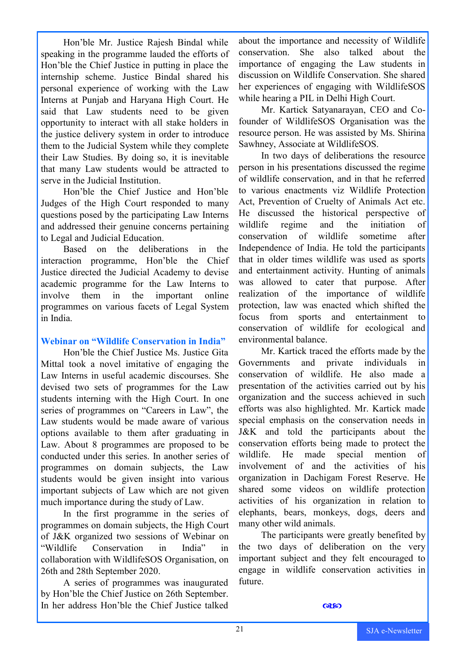Hon'ble Mr. Justice Rajesh Bindal while speaking in the programme lauded the efforts of Hon'ble the Chief Justice in putting in place the internship scheme. Justice Bindal shared his personal experience of working with the Law Interns at Punjab and Haryana High Court. He said that Law students need to be given opportunity to interact with all stake holders in the justice delivery system in order to introduce them to the Judicial System while they complete their Law Studies. By doing so, it is inevitable that many Law students would be attracted to serve in the Judicial Institution.

Hon'ble the Chief Justice and Hon'ble Judges of the High Court responded to many questions posed by the participating Law Interns and addressed their genuine concerns pertaining to Legal and Judicial Education.

Based on the deliberations in the interaction programme, Hon'ble the Chief Justice directed the Judicial Academy to devise academic programme for the Law Interns to involve them in the important online programmes on various facets of Legal System in India.

#### **Webinar on "Wildlife Conservation in India"**

Hon'ble the Chief Justice Ms. Justice Gita Mittal took a novel imitative of engaging the Law Interns in useful academic discourses. She devised two sets of programmes for the Law students interning with the High Court. In one series of programmes on "Careers in Law", the Law students would be made aware of various options available to them after graduating in Law. About 8 programmes are proposed to be conducted under this series. In another series of programmes on domain subjects, the Law students would be given insight into various important subjects of Law which are not given much importance during the study of Law.

In the first programme in the series of programmes on domain subjects, the High Court of J&K organized two sessions of Webinar on "Wildlife Conservation in India" in collaboration with WildlifeSOS Organisation, on 26th and 28th September 2020.

A series of programmes was inaugurated by Hon'ble the Chief Justice on 26th September. In her address Hon'ble the Chief Justice talked

about the importance and necessity of Wildlife conservation. She also talked about the importance of engaging the Law students in discussion on Wildlife Conservation. She shared her experiences of engaging with WildlifeSOS while hearing a PIL in Delhi High Court.

Mr. Kartick Satyanarayan, CEO and Cofounder of WildlifeSOS Organisation was the resource person. He was assisted by Ms. Shirina Sawhney, Associate at WildlifeSOS.

In two days of deliberations the resource person in his presentations discussed the regime of wildlife conservation, and in that he referred to various enactments viz Wildlife Protection Act, Prevention of Cruelty of Animals Act etc. He discussed the historical perspective of wildlife regime and the initiation of conservation of wildlife sometime after Independence of India. He told the participants that in older times wildlife was used as sports and entertainment activity. Hunting of animals was allowed to cater that purpose. After realization of the importance of wildlife protection, law was enacted which shifted the focus from sports and entertainment to conservation of wildlife for ecological and environmental balance.

Mr. Kartick traced the efforts made by the Governments and private individuals in conservation of wildlife. He also made a presentation of the activities carried out by his organization and the success achieved in such efforts was also highlighted. Mr. Kartick made special emphasis on the conservation needs in J&K and told the participants about the conservation efforts being made to protect the wildlife. He made special mention of involvement of and the activities of his organization in Dachigam Forest Reserve. He shared some videos on wildlife protection activities of his organization in relation to elephants, bears, monkeys, dogs, deers and many other wild animals.

The participants were greatly benefited by the two days of deliberation on the very important subject and they felt encouraged to engage in wildlife conservation activities in future.

#### ෬෩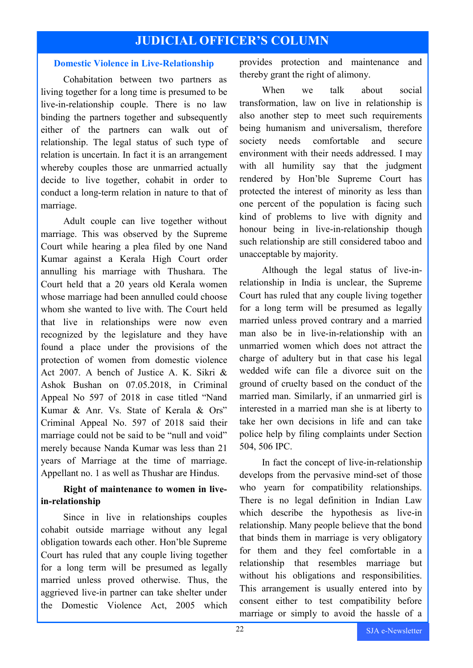# **JUDICIAL OFFICER'S COLUMN**

#### **Domestic Violence in Live-Relationship**

Cohabitation between two partners as living together for a long time is presumed to be live-in-relationship couple. There is no law binding the partners together and subsequently either of the partners can walk out of relationship. The legal status of such type of relation is uncertain. In fact it is an arrangement whereby couples those are unmarried actually decide to live together, cohabit in order to conduct a long-term relation in nature to that of marriage.

Adult couple can live together without marriage. This was observed by the Supreme Court while hearing a plea filed by one Nand Kumar against a Kerala High Court order annulling his marriage with Thushara. The Court held that a 20 years old Kerala women whose marriage had been annulled could choose whom she wanted to live with. The Court held that live in relationships were now even recognized by the legislature and they have found a place under the provisions of the protection of women from domestic violence Act 2007. A bench of Justice A. K. Sikri & Ashok Bushan on 07.05.2018, in Criminal Appeal No 597 of 2018 in case titled "Nand Kumar & Anr. Vs. State of Kerala & Ors" Criminal Appeal No. 597 of 2018 said their marriage could not be said to be "null and void" merely because Nanda Kumar was less than 21 years of Marriage at the time of marriage. Appellant no. 1 as well as Thushar are Hindus.

#### **Right of maintenance to women in livein-relationship**

Since in live in relationships couples cohabit outside marriage without any legal obligation towards each other. Hon'ble Supreme Court has ruled that any couple living together for a long term will be presumed as legally married unless proved otherwise. Thus, the aggrieved live-in partner can take shelter under the Domestic Violence Act, 2005 which provides protection and maintenance and thereby grant the right of alimony.

When we talk about social transformation, law on live in relationship is also another step to meet such requirements being humanism and universalism, therefore society needs comfortable and secure environment with their needs addressed. I may with all humility say that the judgment rendered by Hon'ble Supreme Court has protected the interest of minority as less than one percent of the population is facing such kind of problems to live with dignity and honour being in live-in-relationship though such relationship are still considered taboo and unacceptable by majority.

Although the legal status of live-inrelationship in India is unclear, the Supreme Court has ruled that any couple living together for a long term will be presumed as legally married unless proved contrary and a married man also be in live-in-relationship with an unmarried women which does not attract the charge of adultery but in that case his legal wedded wife can file a divorce suit on the ground of cruelty based on the conduct of the married man. Similarly, if an unmarried girl is interested in a married man she is at liberty to take her own decisions in life and can take police help by filing complaints under Section 504, 506 IPC.

In fact the concept of live-in-relationship develops from the pervasive mind-set of those who yearn for compatibility relationships. There is no legal definition in Indian Law which describe the hypothesis as live-in relationship. Many people believe that the bond that binds them in marriage is very obligatory for them and they feel comfortable in a relationship that resembles marriage but without his obligations and responsibilities. This arrangement is usually entered into by consent either to test compatibility before marriage or simply to avoid the hassle of a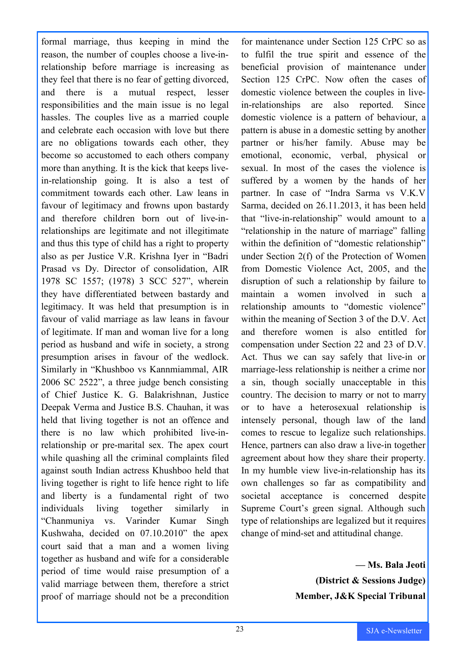formal marriage, thus keeping in mind the reason, the number of couples choose a live-inrelationship before marriage is increasing as they feel that there is no fear of getting divorced, and there is a mutual respect, lesser responsibilities and the main issue is no legal hassles. The couples live as a married couple and celebrate each occasion with love but there are no obligations towards each other, they become so accustomed to each others company more than anything. It is the kick that keeps livein-relationship going. It is also a test of commitment towards each other. Law leans in favour of legitimacy and frowns upon bastardy and therefore children born out of live-inrelationships are legitimate and not illegitimate and thus this type of child has a right to property also as per Justice V.R. Krishna Iyer in "Badri Prasad vs Dy. Director of consolidation, AIR 1978 SC 1557; (1978) 3 SCC 527", wherein they have differentiated between bastardy and legitimacy. It was held that presumption is in favour of valid marriage as law leans in favour of legitimate. If man and woman live for a long period as husband and wife in society, a strong presumption arises in favour of the wedlock. Similarly in "Khushboo vs Kannmiammal, AIR 2006 SC 2522", a three judge bench consisting of Chief Justice K. G. Balakrishnan, Justice Deepak Verma and Justice B.S. Chauhan, it was held that living together is not an offence and there is no law which prohibited live-inrelationship or pre-marital sex. The apex court while quashing all the criminal complaints filed against south Indian actress Khushboo held that living together is right to life hence right to life and liberty is a fundamental right of two individuals living together similarly in "Chanmuniya vs. Varinder Kumar Singh Kushwaha, decided on 07.10.2010" the apex court said that a man and a women living together as husband and wife for a considerable period of time would raise presumption of a valid marriage between them, therefore a strict proof of marriage should not be a precondition for maintenance under Section 125 CrPC so as to fulfil the true spirit and essence of the beneficial provision of maintenance under Section 125 CrPC. Now often the cases of domestic violence between the couples in livein-relationships are also reported. Since domestic violence is a pattern of behaviour, a pattern is abuse in a domestic setting by another partner or his/her family. Abuse may be emotional, economic, verbal, physical or sexual. In most of the cases the violence is suffered by a women by the hands of her partner. In case of "Indra Sarma vs V.K.V Sarma, decided on 26.11.2013, it has been held that "live-in-relationship" would amount to a "relationship in the nature of marriage" falling within the definition of "domestic relationship" under Section 2(f) of the Protection of Women from Domestic Violence Act, 2005, and the disruption of such a relationship by failure to maintain a women involved in such a relationship amounts to "domestic violence" within the meaning of Section 3 of the D.V. Act and therefore women is also entitled for compensation under Section 22 and 23 of D.V. Act. Thus we can say safely that live-in or marriage-less relationship is neither a crime nor a sin, though socially unacceptable in this country. The decision to marry or not to marry or to have a heterosexual relationship is intensely personal, though law of the land comes to rescue to legalize such relationships. Hence, partners can also draw a live-in together agreement about how they share their property. In my humble view live-in-relationship has its own challenges so far as compatibility and societal acceptance is concerned despite Supreme Court's green signal. Although such type of relationships are legalized but it requires change of mind-set and attitudinal change.

> **— Ms. Bala Jeoti (District & Sessions Judge) Member, J&K Special Tribunal**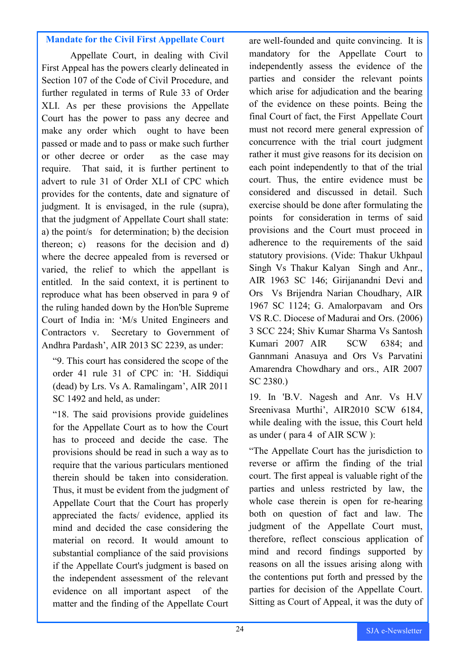#### **Mandate for the Civil First Appellate Court**

Appellate Court, in dealing with Civil First Appeal has the powers clearly delineated in Section 107 of the Code of Civil Procedure, and further regulated in terms of Rule 33 of Order XLI. As per these provisions the Appellate Court has the power to pass any decree and make any order which ought to have been passed or made and to pass or make such further or other decree or order as the case may require. That said, it is further pertinent to advert to rule 31 of Order XLI of CPC which provides for the contents, date and signature of judgment. It is envisaged, in the rule (supra), that the judgment of Appellate Court shall state: a) the point/s for determination; b) the decision thereon; c) reasons for the decision and d) where the decree appealed from is reversed or varied, the relief to which the appellant is entitled. In the said context, it is pertinent to reproduce what has been observed in para 9 of the ruling handed down by the Hon'ble Supreme Court of India in: 'M/s United Engineers and Contractors v. Secretary to Government of Andhra Pardash', AIR 2013 SC 2239, as under:

"9. This court has considered the scope of the order 41 rule 31 of CPC in: 'H. Siddiqui (dead) by Lrs. Vs A. Ramalingam', AIR 2011 SC 1492 and held, as under:

"18. The said provisions provide guidelines for the Appellate Court as to how the Court has to proceed and decide the case. The provisions should be read in such a way as to require that the various particulars mentioned therein should be taken into consideration. Thus, it must be evident from the judgment of Appellate Court that the Court has properly appreciated the facts/ evidence, applied its mind and decided the case considering the material on record. It would amount to substantial compliance of the said provisions if the Appellate Court's judgment is based on the independent assessment of the relevant evidence on all important aspect of the matter and the finding of the Appellate Court

are well-founded and quite convincing. It is mandatory for the Appellate Court to independently assess the evidence of the parties and consider the relevant points which arise for adjudication and the bearing of the evidence on these points. Being the final Court of fact, the First Appellate Court must not record mere general expression of concurrence with the trial court judgment rather it must give reasons for its decision on each point independently to that of the trial court. Thus, the entire evidence must be considered and discussed in detail. Such exercise should be done after formulating the points for consideration in terms of said provisions and the Court must proceed in adherence to the requirements of the said statutory provisions. (Vide: Thakur Ukhpaul Singh Vs Thakur Kalyan Singh and Anr., AIR 1963 SC 146; Girijanandni Devi and Ors Vs Brijendra Narian Choudhary, AIR 1967 SC 1124; G. Amalorpavam and Ors VS R.C. Diocese of Madurai and Ors. (2006) 3 SCC 224; Shiv Kumar Sharma Vs Santosh Kumari 2007 AIR SCW 6384; and Gannmani Anasuya and Ors Vs Parvatini Amarendra Chowdhary and ors., AIR 2007 SC 2380.)

19. In 'B.V. Nagesh and Anr. Vs H.V Sreenivasa Murthi', AIR2010 SCW 6184, while dealing with the issue, this Court held as under ( para 4 of AIR SCW ):

"The Appellate Court has the jurisdiction to reverse or affirm the finding of the trial court. The first appeal is valuable right of the parties and unless restricted by law, the whole case therein is open for re-hearing both on question of fact and law. The judgment of the Appellate Court must, therefore, reflect conscious application of mind and record findings supported by reasons on all the issues arising along with the contentions put forth and pressed by the parties for decision of the Appellate Court. Sitting as Court of Appeal, it was the duty of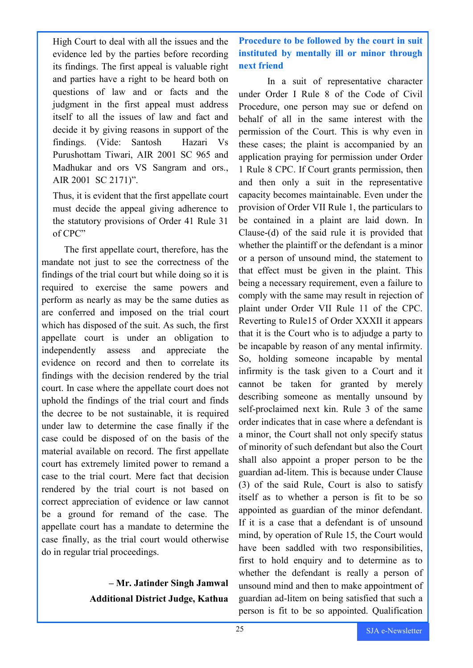High Court to deal with all the issues and the evidence led by the parties before recording its findings. The first appeal is valuable right and parties have a right to be heard both on questions of law and or facts and the judgment in the first appeal must address itself to all the issues of law and fact and decide it by giving reasons in support of the findings. (Vide: Santosh Hazari Vs Purushottam Tiwari, AIR 2001 SC 965 and Madhukar and ors VS Sangram and ors., AIR 2001 SC 2171)".

Thus, it is evident that the first appellate court must decide the appeal giving adherence to the statutory provisions of Order 41 Rule 31 of CPC"

The first appellate court, therefore, has the mandate not just to see the correctness of the findings of the trial court but while doing so it is required to exercise the same powers and perform as nearly as may be the same duties as are conferred and imposed on the trial court which has disposed of the suit. As such, the first appellate court is under an obligation to independently assess and appreciate the evidence on record and then to correlate its findings with the decision rendered by the trial court. In case where the appellate court does not uphold the findings of the trial court and finds the decree to be not sustainable, it is required under law to determine the case finally if the case could be disposed of on the basis of the material available on record. The first appellate court has extremely limited power to remand a case to the trial court. Mere fact that decision rendered by the trial court is not based on correct appreciation of evidence or law cannot be a ground for remand of the case. The appellate court has a mandate to determine the case finally, as the trial court would otherwise do in regular trial proceedings.

# **– Mr. Jatinder Singh Jamwal Additional District Judge, Kathua**

**Procedure to be followed by the court in suit instituted by mentally ill or minor through next friend**

In a suit of representative character under Order I Rule 8 of the Code of Civil Procedure, one person may sue or defend on behalf of all in the same interest with the permission of the Court. This is why even in these cases; the plaint is accompanied by an application praying for permission under Order 1 Rule 8 CPC. If Court grants permission, then and then only a suit in the representative capacity becomes maintainable. Even under the provision of Order VII Rule 1, the particulars to be contained in a plaint are laid down. In Clause-(d) of the said rule it is provided that whether the plaintiff or the defendant is a minor or a person of unsound mind, the statement to that effect must be given in the plaint. This being a necessary requirement, even a failure to comply with the same may result in rejection of plaint under Order VII Rule 11 of the CPC. Reverting to Rule15 of Order XXXII it appears that it is the Court who is to adjudge a party to be incapable by reason of any mental infirmity. So, holding someone incapable by mental infirmity is the task given to a Court and it cannot be taken for granted by merely describing someone as mentally unsound by self-proclaimed next kin. Rule 3 of the same order indicates that in case where a defendant is a minor, the Court shall not only specify status of minority of such defendant but also the Court shall also appoint a proper person to be the guardian ad-litem. This is because under Clause (3) of the said Rule, Court is also to satisfy itself as to whether a person is fit to be so appointed as guardian of the minor defendant. If it is a case that a defendant is of unsound mind, by operation of Rule 15, the Court would have been saddled with two responsibilities, first to hold enquiry and to determine as to whether the defendant is really a person of unsound mind and then to make appointment of guardian ad-litem on being satisfied that such a person is fit to be so appointed. Qualification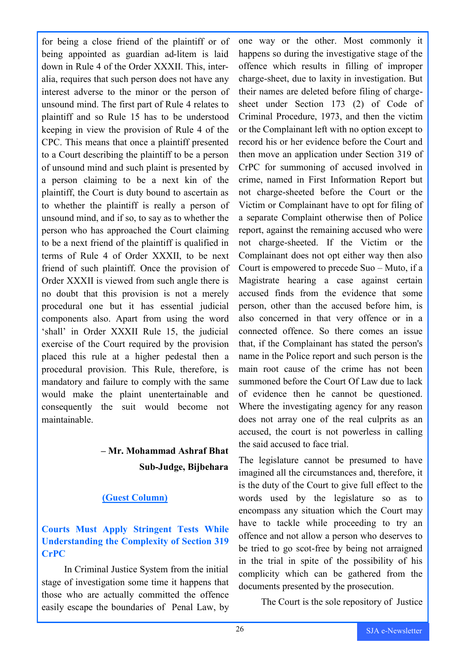for being a close friend of the plaintiff or of being appointed as guardian ad-litem is laid down in Rule 4 of the Order XXXII. This, interalia, requires that such person does not have any interest adverse to the minor or the person of unsound mind. The first part of Rule 4 relates to plaintiff and so Rule 15 has to be understood keeping in view the provision of Rule 4 of the CPC. This means that once a plaintiff presented to a Court describing the plaintiff to be a person of unsound mind and such plaint is presented by a person claiming to be a next kin of the plaintiff, the Court is duty bound to ascertain as to whether the plaintiff is really a person of unsound mind, and if so, to say as to whether the person who has approached the Court claiming to be a next friend of the plaintiff is qualified in terms of Rule 4 of Order XXXII, to be next friend of such plaintiff. Once the provision of Order XXXII is viewed from such angle there is no doubt that this provision is not a merely procedural one but it has essential judicial components also. Apart from using the word 'shall' in Order XXXII Rule 15, the judicial exercise of the Court required by the provision placed this rule at a higher pedestal then a procedural provision. This Rule, therefore, is mandatory and failure to comply with the same would make the plaint unentertainable and consequently the suit would become not maintainable.

# **– Mr. Mohammad Ashraf Bhat Sub-Judge, Bijbehara**

#### **(Guest Column)**

### **Courts Must Apply Stringent Tests While Understanding the Complexity of Section 319 CrPC**

In Criminal Justice System from the initial stage of investigation some time it happens that those who are actually committed the offence easily escape the boundaries of Penal Law, by one way or the other. Most commonly it happens so during the investigative stage of the offence which results in filling of improper charge-sheet, due to laxity in investigation. But their names are deleted before filing of chargesheet under Section 173 (2) of Code of Criminal Procedure, 1973, and then the victim or the Complainant left with no option except to record his or her evidence before the Court and then move an application under Section 319 of CrPC for summoning of accused involved in crime, named in First Information Report but not charge-sheeted before the Court or the Victim or Complainant have to opt for filing of a separate Complaint otherwise then of Police report, against the remaining accused who were not charge-sheeted. If the Victim or the Complainant does not opt either way then also Court is empowered to precede Suo – Muto, if a Magistrate hearing a case against certain accused finds from the evidence that some person, other than the accused before him, is also concerned in that very offence or in a connected offence. So there comes an issue that, if the Complainant has stated the person's name in the Police report and such person is the main root cause of the crime has not been summoned before the Court Of Law due to lack of evidence then he cannot be questioned. Where the investigating agency for any reason does not array one of the real culprits as an accused, the court is not powerless in calling the said accused to face trial.

The legislature cannot be presumed to have imagined all the circumstances and, therefore, it is the duty of the Court to give full effect to the words used by the legislature so as to encompass any situation which the Court may have to tackle while proceeding to try an offence and not allow a person who deserves to be tried to go scot-free by being not arraigned in the trial in spite of the possibility of his complicity which can be gathered from the documents presented by the prosecution.

The Court is the sole repository of Justice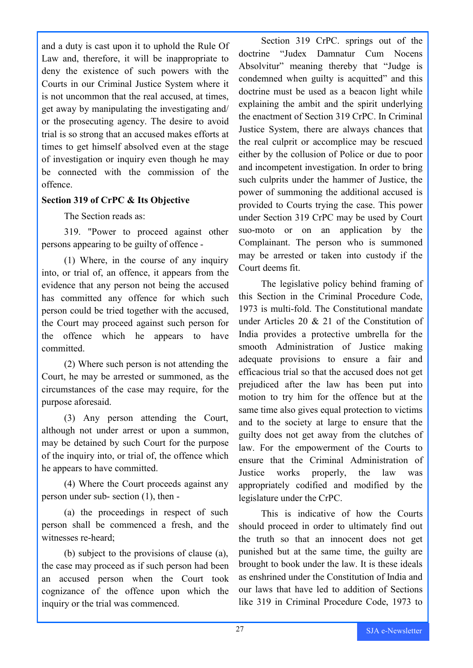and a duty is cast upon it to uphold the Rule Of Law and, therefore, it will be inappropriate to deny the existence of such powers with the Courts in our Criminal Justice System where it is not uncommon that the real accused, at times, get away by manipulating the investigating and/ or the prosecuting agency. The desire to avoid trial is so strong that an accused makes efforts at times to get himself absolved even at the stage of investigation or inquiry even though he may be connected with the commission of the offence.

#### **Section 319 of CrPC & Its Objective**

The Section reads as:

319. "Power to proceed against other persons appearing to be guilty of offence -

(1) Where, in the course of any inquiry into, or trial of, an offence, it appears from the evidence that any person not being the accused has committed any offence for which such person could be tried together with the accused, the Court may proceed against such person for the offence which he appears to have committed.

(2) Where such person is not attending the Court, he may be arrested or summoned, as the circumstances of the case may require, for the purpose aforesaid.

(3) Any person attending the Court, although not under arrest or upon a summon, may be detained by such Court for the purpose of the inquiry into, or trial of, the offence which he appears to have committed.

(4) Where the Court proceeds against any person under sub- section (1), then -

(a) the proceedings in respect of such person shall be commenced a fresh, and the witnesses re-heard;

(b) subject to the provisions of clause (a), the case may proceed as if such person had been an accused person when the Court took cognizance of the offence upon which the inquiry or the trial was commenced.

Section 319 CrPC. springs out of the doctrine "Judex Damnatur Cum Nocens Absolvitur" meaning thereby that "Judge is condemned when guilty is acquitted" and this doctrine must be used as a beacon light while explaining the ambit and the spirit underlying the enactment of Section 319 CrPC. In Criminal Justice System, there are always chances that the real culprit or accomplice may be rescued either by the collusion of Police or due to poor and incompetent investigation. In order to bring such culprits under the hammer of Justice, the power of summoning the additional accused is provided to Courts trying the case. This power under Section 319 CrPC may be used by Court suo-moto or on an application by the Complainant. The person who is summoned may be arrested or taken into custody if the Court deems fit.

The legislative policy behind framing of this Section in the Criminal Procedure Code, 1973 is multi-fold. The Constitutional mandate under Articles 20 & 21 of the Constitution of India provides a protective umbrella for the smooth Administration of Justice making adequate provisions to ensure a fair and efficacious trial so that the accused does not get prejudiced after the law has been put into motion to try him for the offence but at the same time also gives equal protection to victims and to the society at large to ensure that the guilty does not get away from the clutches of law. For the empowerment of the Courts to ensure that the Criminal Administration of Justice works properly, the law was appropriately codified and modified by the legislature under the CrPC.

This is indicative of how the Courts should proceed in order to ultimately find out the truth so that an innocent does not get punished but at the same time, the guilty are brought to book under the law. It is these ideals as enshrined under the Constitution of India and our laws that have led to addition of Sections like 319 in Criminal Procedure Code, 1973 to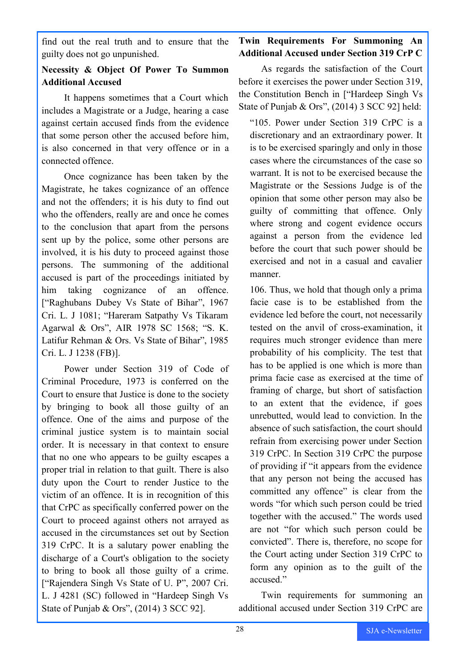find out the real truth and to ensure that the guilty does not go unpunished.

#### **Necessity & Object Of Power To Summon Additional Accused**

It happens sometimes that a Court which includes a Magistrate or a Judge, hearing a case against certain accused finds from the evidence that some person other the accused before him, is also concerned in that very offence or in a connected offence.

Once cognizance has been taken by the Magistrate, he takes cognizance of an offence and not the offenders; it is his duty to find out who the offenders, really are and once he comes to the conclusion that apart from the persons sent up by the police, some other persons are involved, it is his duty to proceed against those persons. The summoning of the additional accused is part of the proceedings initiated by him taking cognizance of an offence. ["Raghubans Dubey Vs State of Bihar", 1967 Cri. L. J 1081; "Hareram Satpathy Vs Tikaram Agarwal & Ors", AIR 1978 SC 1568; "S. K. Latifur Rehman & Ors. Vs State of Bihar", 1985 Cri. L. J 1238 (FB)].

Power under Section 319 of Code of Criminal Procedure, 1973 is conferred on the Court to ensure that Justice is done to the society by bringing to book all those guilty of an offence. One of the aims and purpose of the criminal justice system is to maintain social order. It is necessary in that context to ensure that no one who appears to be guilty escapes a proper trial in relation to that guilt. There is also duty upon the Court to render Justice to the victim of an offence. It is in recognition of this that CrPC as specifically conferred power on the Court to proceed against others not arrayed as accused in the circumstances set out by Section 319 CrPC. It is a salutary power enabling the discharge of a Court's obligation to the society to bring to book all those guilty of a crime. ["Rajendera Singh Vs State of U. P", 2007 Cri. L. J 4281 (SC) followed in "Hardeep Singh Vs State of Punjab & Ors", (2014) 3 SCC 92].

### **Twin Requirements For Summoning An Additional Accused under Section 319 CrP C**

As regards the satisfaction of the Court before it exercises the power under Section 319, the Constitution Bench in ["Hardeep Singh Vs State of Punjab & Ors", (2014) 3 SCC 92] held:

"105. Power under Section 319 CrPC is a discretionary and an extraordinary power. It is to be exercised sparingly and only in those cases where the circumstances of the case so warrant. It is not to be exercised because the Magistrate or the Sessions Judge is of the opinion that some other person may also be guilty of committing that offence. Only where strong and cogent evidence occurs against a person from the evidence led before the court that such power should be exercised and not in a casual and cavalier manner.

106. Thus, we hold that though only a prima facie case is to be established from the evidence led before the court, not necessarily tested on the anvil of cross-examination, it requires much stronger evidence than mere probability of his complicity. The test that has to be applied is one which is more than prima facie case as exercised at the time of framing of charge, but short of satisfaction to an extent that the evidence, if goes unrebutted, would lead to conviction. In the absence of such satisfaction, the court should refrain from exercising power under Section 319 CrPC. In Section 319 CrPC the purpose of providing if "it appears from the evidence that any person not being the accused has committed any offence" is clear from the words "for which such person could be tried together with the accused." The words used are not "for which such person could be convicted". There is, therefore, no scope for the Court acting under Section 319 CrPC to form any opinion as to the guilt of the accused."

Twin requirements for summoning an additional accused under Section 319 CrPC are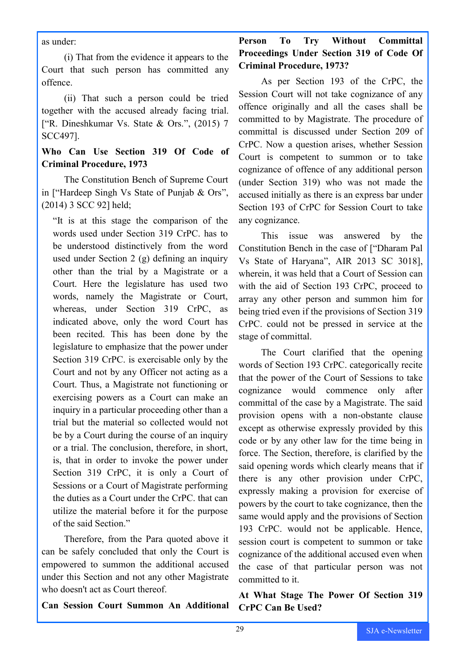as under:

(i) That from the evidence it appears to the Court that such person has committed any offence.

(ii) That such a person could be tried together with the accused already facing trial. ["R. Dineshkumar Vs. State & Ors.", (2015) 7 SCC497].

#### **Who Can Use Section 319 Of Code of Criminal Procedure, 1973**

The Constitution Bench of Supreme Court in ["Hardeep Singh Vs State of Punjab & Ors", (2014) 3 SCC 92] held;

"It is at this stage the comparison of the words used under Section 319 CrPC. has to be understood distinctively from the word used under Section 2 (g) defining an inquiry other than the trial by a Magistrate or a Court. Here the legislature has used two words, namely the Magistrate or Court, whereas, under Section 319 CrPC, as indicated above, only the word Court has been recited. This has been done by the legislature to emphasize that the power under Section 319 CrPC. is exercisable only by the Court and not by any Officer not acting as a Court. Thus, a Magistrate not functioning or exercising powers as a Court can make an inquiry in a particular proceeding other than a trial but the material so collected would not be by a Court during the course of an inquiry or a trial. The conclusion, therefore, in short, is, that in order to invoke the power under Section 319 CrPC, it is only a Court of Sessions or a Court of Magistrate performing the duties as a Court under the CrPC. that can utilize the material before it for the purpose of the said Section."

Therefore, from the Para quoted above it can be safely concluded that only the Court is empowered to summon the additional accused under this Section and not any other Magistrate who doesn't act as Court thereof.

**Can Session Court Summon An Additional** 

### **Person To Try Without Committal Proceedings Under Section 319 of Code Of Criminal Procedure, 1973?**

As per Section 193 of the CrPC, the Session Court will not take cognizance of any offence originally and all the cases shall be committed to by Magistrate. The procedure of committal is discussed under Section 209 of CrPC. Now a question arises, whether Session Court is competent to summon or to take cognizance of offence of any additional person (under Section 319) who was not made the accused initially as there is an express bar under Section 193 of CrPC for Session Court to take any cognizance.

This issue was answered by the Constitution Bench in the case of ["Dharam Pal Vs State of Haryana", AIR 2013 SC 3018], wherein, it was held that a Court of Session can with the aid of Section 193 CrPC, proceed to array any other person and summon him for being tried even if the provisions of Section 319 CrPC. could not be pressed in service at the stage of committal.

The Court clarified that the opening words of Section 193 CrPC. categorically recite that the power of the Court of Sessions to take cognizance would commence only after committal of the case by a Magistrate. The said provision opens with a non-obstante clause except as otherwise expressly provided by this code or by any other law for the time being in force. The Section, therefore, is clarified by the said opening words which clearly means that if there is any other provision under CrPC, expressly making a provision for exercise of powers by the court to take cognizance, then the same would apply and the provisions of Section 193 CrPC. would not be applicable. Hence, session court is competent to summon or take cognizance of the additional accused even when the case of that particular person was not committed to it.

**At What Stage The Power Of Section 319 CrPC Can Be Used?**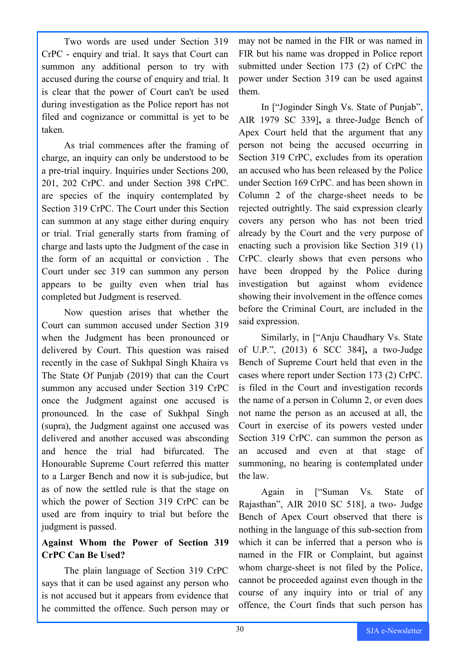Two words are used under Section 319 CrPC - enquiry and trial. It says that Court can summon any additional person to try with accused during the course of enquiry and trial. It is clear that the power of Court can't be used during investigation as the Police report has not filed and cognizance or committal is yet to be taken.

As trial commences after the framing of charge, an inquiry can only be understood to be a pre-trial inquiry. Inquiries under Sections 200, 201, 202 CrPC. and under Section 398 CrPC. are species of the inquiry contemplated by Section 319 CrPC. The Court under this Section can summon at any stage either during enquiry or trial. Trial generally starts from framing of charge and lasts upto the Judgment of the case in the form of an acquittal or conviction . The Court under sec 319 can summon any person appears to be guilty even when trial has completed but Judgment is reserved.

Now question arises that whether the Court can summon accused under Section 319 when the Judgment has been pronounced or delivered by Court. This question was raised recently in the case of Sukhpal Singh Khaira vs The State Of Punjab (2019) that can the Court summon any accused under Section 319 CrPC once the Judgment against one accused is pronounced. In the case of Sukhpal Singh (supra), the Judgment against one accused was delivered and another accused was absconding and hence the trial had bifurcated. The Honourable Supreme Court referred this matter to a Larger Bench and now it is sub-judice, but as of now the settled rule is that the stage on which the power of Section 319 CrPC can be used are from inquiry to trial but before the judgment is passed.

#### **Against Whom the Power of Section 319 CrPC Can Be Used?**

The plain language of Section 319 CrPC says that it can be used against any person who is not accused but it appears from evidence that he committed the offence. Such person may or

may not be named in the FIR or was named in FIR but his name was dropped in Police report submitted under Section 173 (2) of CrPC the power under Section 319 can be used against them.

In ["Joginder Singh Vs. State of Punjab", AIR 1979 SC 339]**,** a three-Judge Bench of Apex Court held that the argument that any person not being the accused occurring in Section 319 CrPC, excludes from its operation an accused who has been released by the Police under Section 169 CrPC. and has been shown in Column 2 of the charge-sheet needs to be rejected outrightly. The said expression clearly covers any person who has not been tried already by the Court and the very purpose of enacting such a provision like Section 319 (1) CrPC. clearly shows that even persons who have been dropped by the Police during investigation but against whom evidence showing their involvement in the offence comes before the Criminal Court, are included in the said expression.

Similarly, in ["Anju Chaudhary Vs. State of U.P.", (2013) 6 SCC 384]**,** a two-Judge Bench of Supreme Court held that even in the cases where report under Section 173 (2) CrPC. is filed in the Court and investigation records the name of a person in Column 2, or even does not name the person as an accused at all, the Court in exercise of its powers vested under Section 319 CrPC. can summon the person as an accused and even at that stage of summoning, no hearing is contemplated under the law.

Again in ["Suman Vs. State of Rajasthan", AIR 2010 SC 518], a two- Judge Bench of Apex Court observed that there is nothing in the language of this sub-section from which it can be inferred that a person who is named in the FIR or Complaint, but against whom charge-sheet is not filed by the Police, cannot be proceeded against even though in the course of any inquiry into or trial of any offence, the Court finds that such person has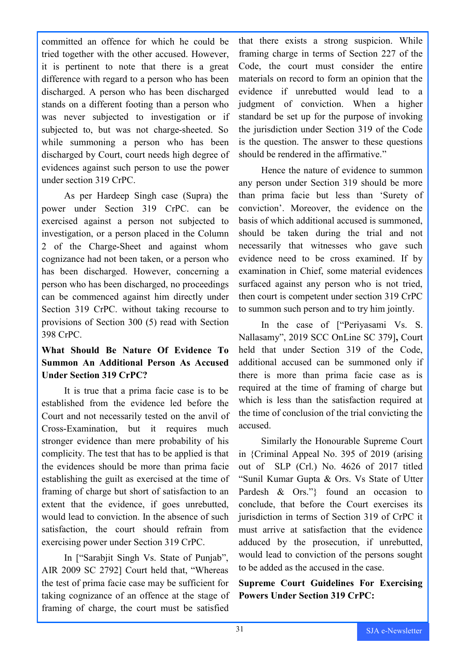committed an offence for which he could be tried together with the other accused. However, it is pertinent to note that there is a great difference with regard to a person who has been discharged. A person who has been discharged stands on a different footing than a person who was never subjected to investigation or if subjected to, but was not charge-sheeted. So while summoning a person who has been discharged by Court, court needs high degree of evidences against such person to use the power under section 319 CrPC.

As per Hardeep Singh case (Supra) the power under Section 319 CrPC. can be exercised against a person not subjected to investigation, or a person placed in the Column 2 of the Charge-Sheet and against whom cognizance had not been taken, or a person who has been discharged. However, concerning a person who has been discharged, no proceedings can be commenced against him directly under Section 319 CrPC. without taking recourse to provisions of Section 300 (5) read with Section 398 CrPC.

### **What Should Be Nature Of Evidence To Summon An Additional Person As Accused Under Section 319 CrPC?**

It is true that a prima facie case is to be established from the evidence led before the Court and not necessarily tested on the anvil of Cross-Examination, but it requires much stronger evidence than mere probability of his complicity. The test that has to be applied is that the evidences should be more than prima facie establishing the guilt as exercised at the time of framing of charge but short of satisfaction to an extent that the evidence, if goes unrebutted, would lead to conviction. In the absence of such satisfaction, the court should refrain from exercising power under Section 319 CrPC.

In ["Sarabjit Singh Vs. State of Punjab", AIR 2009 SC 2792] Court held that, "Whereas the test of prima facie case may be sufficient for taking cognizance of an offence at the stage of framing of charge, the court must be satisfied

that there exists a strong suspicion. While framing charge in terms of Section 227 of the Code, the court must consider the entire materials on record to form an opinion that the evidence if unrebutted would lead to a judgment of conviction. When a higher standard be set up for the purpose of invoking the jurisdiction under Section 319 of the Code is the question. The answer to these questions should be rendered in the affirmative."

Hence the nature of evidence to summon any person under Section 319 should be more than prima facie but less than 'Surety of conviction'. Moreover, the evidence on the basis of which additional accused is summoned, should be taken during the trial and not necessarily that witnesses who gave such evidence need to be cross examined. If by examination in Chief, some material evidences surfaced against any person who is not tried, then court is competent under section 319 CrPC to summon such person and to try him jointly.

In the case of ["Periyasami Vs. S. Nallasamy", 2019 SCC OnLine SC 379]**,** Court held that under Section 319 of the Code, additional accused can be summoned only if there is more than prima facie case as is required at the time of framing of charge but which is less than the satisfaction required at the time of conclusion of the trial convicting the accused.

Similarly the Honourable Supreme Court in {Criminal Appeal No. 395 of 2019 (arising out of SLP (Crl.) No. 4626 of 2017 titled "Sunil Kumar Gupta & Ors. Vs State of Utter Pardesh & Ors."} found an occasion to conclude, that before the Court exercises its jurisdiction in terms of Section 319 of CrPC it must arrive at satisfaction that the evidence adduced by the prosecution, if unrebutted, would lead to conviction of the persons sought to be added as the accused in the case.

**Supreme Court Guidelines For Exercising Powers Under Section 319 CrPC:**